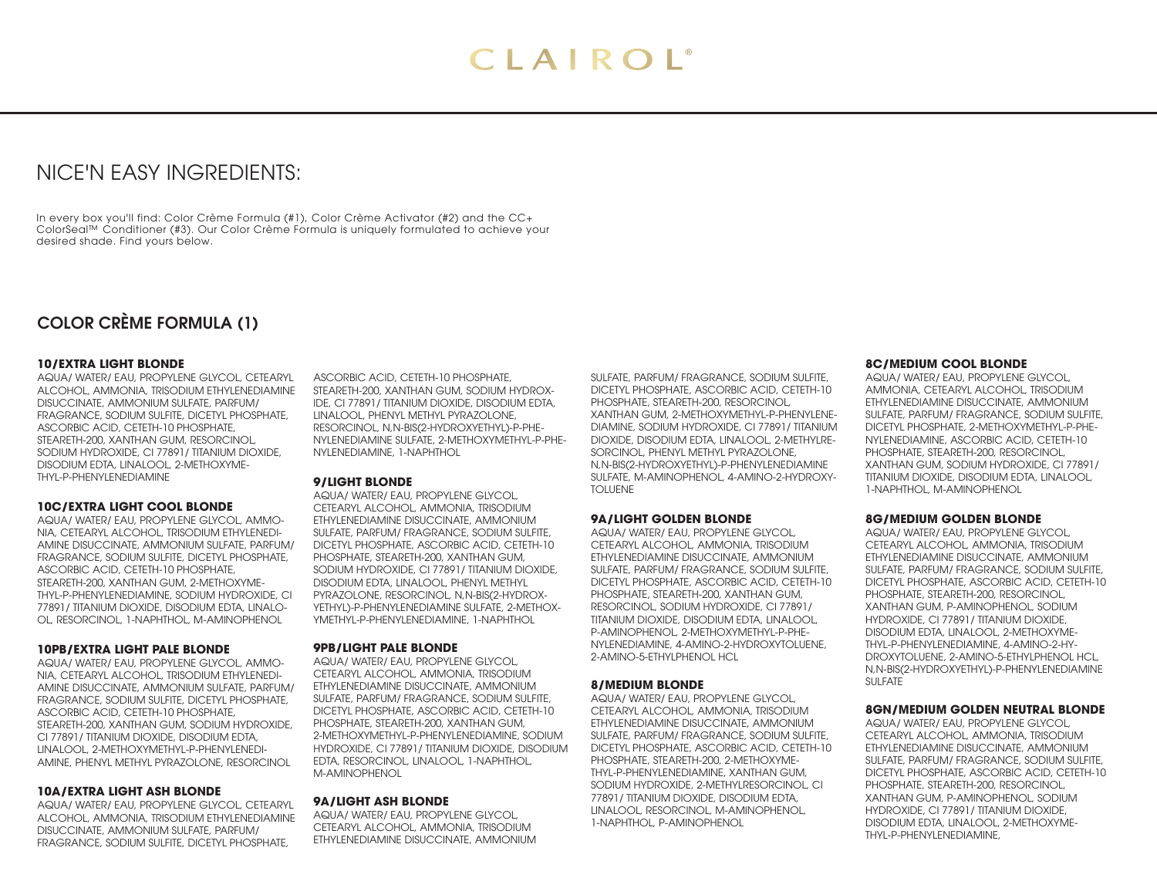# NICE'N EASY INGREDIENTS:

In every box you'll find: Color Crème Formula (#1), Color Crème Activator (#2) and the CC+ ColorSeal™ Conditioner (#3). Our Color Crème Formula is uniquely formulated to achieve your desired shade. Find yours below.

# COLOR CRÈME FORMULA (1)

### **10/EXTRA LIGHT BLONDE**

AQUA/ WATER/ EAU, PROPYLENE GLYCOL, CETEARYL ALCOHOL, AMMONIA, TRISODIUM ETHYLENEDIAMINE DISUCCINATE, AMMONIUM SULFATE, PARFUM/ FRAGRANCE, SODIUM SULFITE, DICETYL PHOSPHATE, ASCORBIC ACID, CETETH-10 PHOSPHATE, STEARETH-200, XANTHAN GUM, RESORCINOL SODIUM HYDROXIDE, CI 77891/ TITANIUM DIOXIDE, DISODIUM EDTA, LINALOOL, 2-METHOXYME-THYL-P-PHENYLENEDIAMINE

### **10C/EXTRA LIGHT COOL BLONDE**

AQUA/ WATER/ EAU, PROPYLENE GLYCOL, AMMO-NIA, CETEARYL ALCOHOL, TRISODIUM ETHYLENEDI-AMINE DISUCCINATE, AMMONIUM SULFATE, PARFUM/ FRAGRANCE, SODIUM SULFITE, DICETYL PHOSPHATE, ASCORBIC ACID, CETETH-10 PHOSPHATE, STEARETH-200, XANTHAN GUM, 2-METHOXYME-THYL-P-PHENYLENEDIAMINE, SODIUM HYDROXIDE, CI 77891/ TITANIUM DIOXIDE, DISODIUM EDTA, LINALO-OL, RESORCINOL, 1-NAPHTHOL, M-AMINOPHENOL

#### **10PB/EXTRA LIGHT PALE BLONDE**

AQUA/ WATER/ EAU, PROPYLENE GLYCOL, AMMO-NIA, CETEARYL ALCOHOL, TRISODIUM ETHYLENEDI-AMINE DISUCCINATE, AMMONIUM SULFATE, PARFUM/ FRAGRANCE, SODIUM SULFITE, DICETYL PHOSPHATE, ASCORBIC ACID, CETETH-10 PHOSPHATE, STEARETH-200, XANTHAN GUM, SODIUM HYDROXIDE, CI 77891/ TITANIUM DIOXIDE, DISODIUM EDTA, LINALOOL, 2-METHOXYMETHYL-P-PHENYLENEDI-AMINE, PHENYL METHYL PYRAZOLONE, RESORCINOL

#### **10A/EXTRA LIGHT ASH BLONDE**

AQUA/ WATER/ EAU, PROPYLENE GLYCOL, CETEARYL ALCOHOL, AMMONIA, TRISODIUM ETHYLENEDIAMINE DISUCCINATE, AMMONIUM SULFATE, PARFUM/ FRAGRANCE, SODIUM SULFITE, DICETYL PHOSPHATE,

ASCORBIC ACID, CETETH-10 PHOSPHATE, STEARETH-200, XANTHAN GUM, SODIUM HYDROX-IDE, CI 77891/ TITANIUM DIOXIDE, DISODIUM EDTA, LINALOOL, PHENYL METHYL PYRAZOLONE, RESORCINOL, N,N-BIS(2-HYDROXYETHYL)-P-PHE-NYLENEDIAMINE SULFATE, 2-METHOXYMETHYL-P-PHE-NYLENEDIAMINE, 1-NAPHTHOL

# **9/LIGHT BLONDE**

AQUA/ WATER/ EAU, PROPYLENE GLYCOL, CETEARYL ALCOHOL, AMMONIA, TRISODIUM ETHYLENEDIAMINE DISUCCINATE, AMMONIUM SULFATE, PARFUM/ FRAGRANCE, SODIUM SULFITE, DICETYL PHOSPHATE, ASCORBIC ACID, CETETH-10 PHOSPHATE, STEARETH-200, XANTHAN GUM, SODIUM HYDROXIDE, CI 77891/ TITANIUM DIOXIDE, DISODIUM EDTA, LINALOOL, PHENYL METHYL PYRAZOLONE, RESORCINOL, N,N-BIS(2-HYDROX-YETHYL)-P-PHENYLENEDIAMINE SULFATE, 2-METHOX-YMETHYL-P-PHENYLENEDIAMINE, 1-NAPHTHOL

# **9PB/LIGHT PALE BLONDE**

AQUA/ WATER/ EAU, PROPYLENE GLYCOL, CETEARYL ALCOHOL, AMMONIA, TRISODIUM ETHYLENEDIAMINE DISUCCINATE, AMMONIUM SULFATE, PARFUM/ FRAGRANCE, SODIUM SULFITE, DICETYL PHOSPHATE, ASCORBIC ACID, CETETH-10 PHOSPHATE, STEARETH-200, XANTHAN GUM, 2-METHOXYMETHYL-P-PHENYLENEDIAMINE, SODIUM HYDROXIDE, CI 77891/ TITANIUM DIOXIDE, DISODIUM EDTA, RESORCINOL, LINALOOL, 1-NAPHTHOL, M-AMINOPHENOL

# **9A/LIGHT ASH BLONDE**

AQUA/ WATER/ EAU, PROPYLENE GLYCOL, CETEARYL ALCOHOL, AMMONIA, TRISODIUM ETHYLENEDIAMINE DISUCCINATE, AMMONIUM SULFATE, PARFUM/ FRAGRANCE, SODIUM SULFITE, DICETYL PHOSPHATE, ASCORBIC ACID, CETETH-10 PHOSPHATE, STEARETH-200, RESORCINOL, XANTHAN GUM, 2-METHOXYMETHYL-P-PHENYLENE-DIAMINE, SODIUM HYDROXIDE, CI 77891/ TITANIUM DIOXIDE, DISODIUM EDTA, LINALOOL, 2-METHYLRE-SORCINOL, PHENYL METHYL PYRAZOLONE, N,N-BIS(2-HYDROXYETHYL)-P-PHENYLENEDIAMINE SULFATE, M-AMINOPHENOL, 4-AMINO-2-HYDROXY-TOLUENE

#### **9A/LIGHT GOLDEN BLONDE**

AQUA/ WATER/ EAU, PROPYLENE GLYCOL, CETEARYL ALCOHOL, AMMONIA, TRISODIUM ETHYLENEDIAMINE DISUCCINATE, AMMONIUM SULFATE, PARFUM/ FRAGRANCE, SODIUM SULFITE, DICETYL PHOSPHATE, ASCORBIC ACID, CETETH-10 PHOSPHATE, STEARETH-200, XANTHAN GUM, RESORCINOL, SODIUM HYDROXIDE, CI 77891/ TITANIUM DIOXIDE, DISODIUM EDTA, LINALOOL, P-AMINOPHENOL, 2-METHOXYMETHYL-P-PHE-NYLENEDIAMINE, 4-AMINO-2-HYDROXYTOLUENE, 2-AMINO-5-ETHYLPHENOL HCL

# **8/MEDIUM BLONDE**

AQUA/ WATER/ EAU, PROPYLENE GLYCOL, CETEARYL ALCOHOL, AMMONIA, TRISODIUM ETHYLENEDIAMINE DISUCCINATE, AMMONIUM SULFATE, PARFUM/ FRAGRANCE, SODIUM SULFITE, DICETYL PHOSPHATE, ASCORBIC ACID, CETETH-10 PHOSPHATE, STEARETH-200, 2-METHOXYME-THYL-P-PHENYLENEDIAMINE, XANTHAN GUM, SODIUM HYDROXIDE, 2-METHYLRESORCINOL, CI 77891/ TITANIUM DIOXIDE, DISODIUM EDTA, LINALOOL, RESORCINOL, M-AMINOPHENOL, 1-NAPHTHOL, P-AMINOPHENOL

#### **8C/MEDIUM COOL BLONDE**

AQUA/ WATER/ EAU, PROPYLENE GLYCOL, AMMONIA, CETEARYL ALCOHOL, TRISODIUM ETHYLENEDIAMINE DISUCCINATE, AMMONIUM SULFATE, PARFUM/ FRAGRANCE, SODIUM SULFITE, DICETYL PHOSPHATE, 2-METHOXYMETHYL-P-PHE-NYLENEDIAMINE, ASCORBIC ACID, CETETH-10 PHOSPHATE, STEARETH-200, RESORCINOL, XANTHAN GUM, SODIUM HYDROXIDE, CI 77891/ TITANIUM DIOXIDE, DISODIUM EDTA, LINALOOL, 1-NAPHTHOL, M-AMINOPHENOL

#### **8G/MEDIUM GOLDEN BLONDE**

AQUA/ WATER/ EAU, PROPYLENE GLYCOL, CETEARYL ALCOHOL, AMMONIA, TRISODIUM ETHYLENEDIAMINE DISUCCINATE, AMMONIUM SULFATE, PARFUM/ FRAGRANCE, SODIUM SULFITE, DICETYL PHOSPHATE, ASCORBIC ACID, CETETH-10 PHOSPHATE, STEARETH-200, RESORCINOL, XANTHAN GUM, P-AMINOPHENOL, SODIUM HYDROXIDE, CI 77891/ TITANIUM DIOXIDE, DISODIUM EDTA, LINALOOL, 2-METHOXYME-THYL-P-PHENYLENEDIAMINE, 4-AMINO-2-HY-DROXYTOLUENE, 2-AMINO-5-ETHYLPHENOL HCL, N,N-BIS(2-HYDROXYETHYL)-P-PHENYLENEDIAMINE SULFATE

#### **8GN/MEDIUM GOLDEN NEUTRAL BLONDE**

AQUA/ WATER/ EAU, PROPYLENE GLYCOL, CETEARYL ALCOHOL, AMMONIA, TRISODIUM ETHYLENEDIAMINE DISUCCINATE, AMMONIUM SULFATE, PARFUM/ FRAGRANCE, SODIUM SULFITE, DICETYL PHOSPHATE, ASCORBIC ACID, CETETH-10 PHOSPHATE, STEARETH-200, RESORCINOL, XANTHAN GUM, P-AMINOPHENOL, SODIUM HYDROXIDE, CI 77891/ TITANIUM DIOXIDE, DISODIUM EDTA, LINALOOL, 2-METHOXYME-THYL-P-PHENYLENEDIAMINE,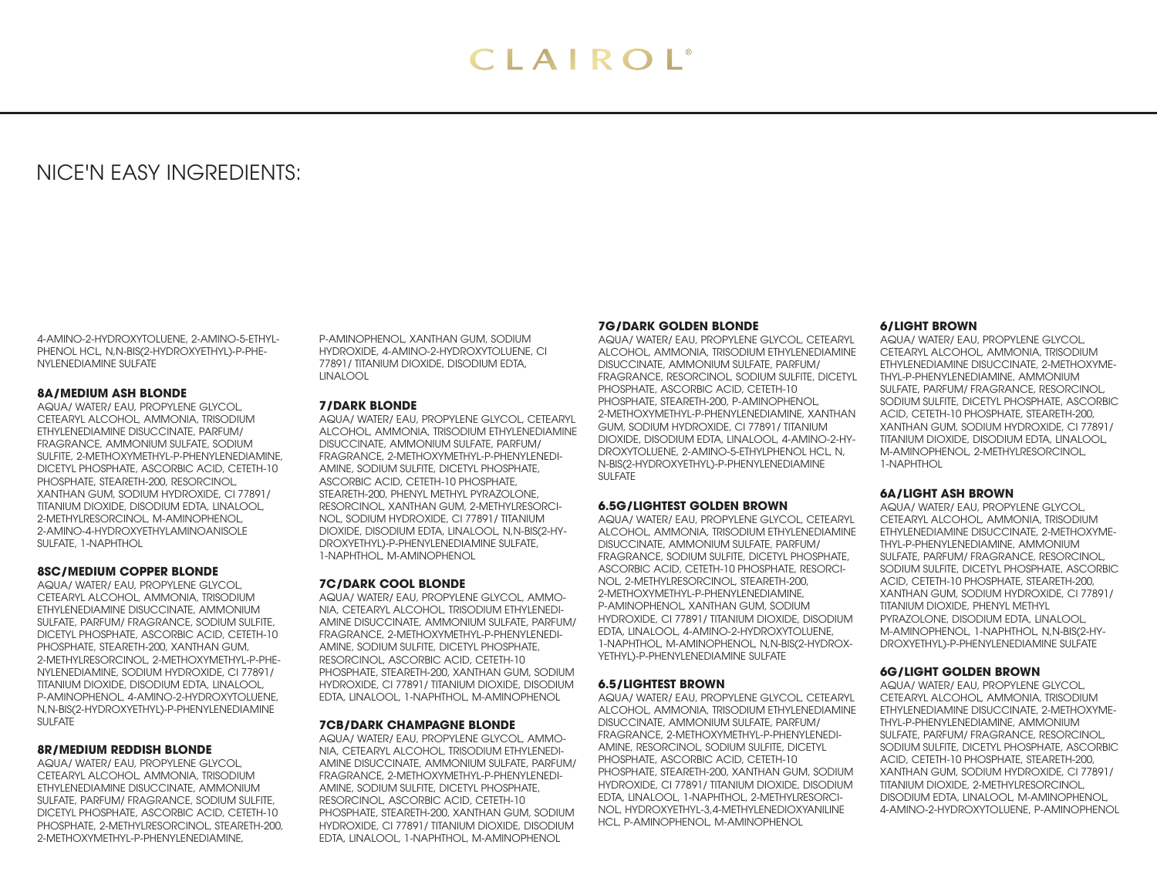# NICE'N EASY INGREDIENTS:

4-AMINO-2-HYDROXYTOLUENE, 2-AMINO-5-ETHYL-PHENOL HCL, N,N-BIS(2-HYDROXYETHYL)-P-PHE-NYLENEDIAMINE SULFATE

### **8A/MEDIUM ASH BLONDE**

AQUA/ WATER/ EAU, PROPYLENE GLYCOL, CETEARYL ALCOHOL, AMMONIA, TRISODIUM ETHYLENEDIAMINE DISUCCINATE, PARFUM/ FRAGRANCE, AMMONIUM SULFATE, SODIUM SULFITE, 2-METHOXYMETHYL-P-PHENYLENEDIAMINE, DICETYL PHOSPHATE, ASCORBIC ACID, CETETH-10 PHOSPHATE, STEARETH-200, RESORCINOL, XANTHAN GUM, SODIUM HYDROXIDE, CI 77891/ TITANIUM DIOXIDE, DISODIUM EDTA, LINALOOL, 2-METHYLRESORCINOL, M-AMINOPHENOL, 2-AMINO-4-HYDROXYETHYLAMINOANISOLE SULFATE, 1-NAPHTHOL

#### **8SC/MEDIUM COPPER BLONDE**

AQUA/ WATER/ EAU, PROPYLENE GLYCOL, CETEARYL ALCOHOL, AMMONIA, TRISODIUM ETHYLENEDIAMINE DISUCCINATE, AMMONIUM SULFATE, PARFUM/ FRAGRANCE, SODIUM SULFITE, DICETYL PHOSPHATE, ASCORBIC ACID, CETETH-10 PHOSPHATE, STEARETH-200, XANTHAN GUM, 2-METHYLRESORCINOL, 2-METHOXYMETHYL-P-PHE-NYLENEDIAMINE, SODIUM HYDROXIDE, CI 77891/ TITANIUM DIOXIDE, DISODIUM EDTA, LINALOOL, P-AMINOPHENOL, 4-AMINO-2-HYDROXYTOLUENE, N,N-BIS(2-HYDROXYETHYL)-P-PHENYLENEDIAMINE SULFATE

# **8R/MEDIUM REDDISH BLONDE**

AQUA/ WATER/ EAU, PROPYLENE GLYCOL, CETEARYL ALCOHOL, AMMONIA, TRISODIUM ETHYLENEDIAMINE DISUCCINATE, AMMONIUM SULFATE, PARFUM/ FRAGRANCE, SODIUM SULFITE, DICETYL PHOSPHATE, ASCORBIC ACID, CETETH-10 PHOSPHATE, 2-METHYLRESORCINOL, STEARETH-200, 2-METHOXYMETHYL-P-PHENYLENEDIAMINE,

P-AMINOPHENOL, XANTHAN GUM, SODIUM HYDROXIDE, 4-AMINO-2-HYDROXYTOLUENE, CI 77891/ TITANIUM DIOXIDE, DISODIUM EDTA, LINALOOL

#### **7/DARK BLONDE**

AQUA/ WATER/ EAU, PROPYLENE GLYCOL, CETEARYL ALCOHOL, AMMONIA, TRISODIUM ETHYLENEDIAMINE DISUCCINATE, AMMONIUM SULFATE, PARFUM/ FRAGRANCE, 2-METHOXYMETHYL-P-PHENYLENEDI-AMINE, SODIUM SULFITE, DICETYL PHOSPHATE, ASCORBIC ACID, CETETH-10 PHOSPHATE, STEARETH-200, PHENYL METHYL PYRAZOLONE, RESORCINOL, XANTHAN GUM, 2-METHYLRESORCI-NOL, SODIUM HYDROXIDE, CI 77891/ TITANIUM DIOXIDE, DISODIUM EDTA, LINALOOL, N,N-BIS(2-HY-DROXYETHYL)-P-PHENYLENEDIAMINE SULFATE, 1-NAPHTHOL, M-AMINOPHENOL

#### **7C/DARK COOL BLONDE**

AQUA/ WATER/ EAU, PROPYLENE GLYCOL, AMMO-NIA, CETEARYL ALCOHOL, TRISODIUM ETHYLENEDI-AMINE DISUCCINATE, AMMONIUM SULFATE, PARFUM/ FRAGRANCE, 2-METHOXYMETHYL-P-PHENYLENEDI-AMINE, SODIUM SULFITE, DICETYL PHOSPHATE, RESORCINOL, ASCORBIC ACID, CETETH-10 PHOSPHATE, STEARETH-200, XANTHAN GUM, SODIUM HYDROXIDE, CI 77891/ TITANIUM DIOXIDE, DISODIUM EDTA, LINALOOL, 1-NAPHTHOL, M-AMINOPHENOL

# **7CB/DARK CHAMPAGNE BLONDE**

AQUA/ WATER/ EAU, PROPYLENE GLYCOL, AMMO-NIA, CETEARYL ALCOHOL, TRISODIUM ETHYLENEDI-AMINE DISUCCINATE, AMMONIUM SULFATE, PARFUM/ FRAGRANCE, 2-METHOXYMETHYL-P-PHENYLENEDI-AMINE, SODIUM SULFITE, DICETYL PHOSPHATE, RESORCINOL, ASCORBIC ACID, CETETH-10 PHOSPHATE, STEARETH-200, XANTHAN GUM, SODIUM HYDROXIDE, CI 77891/ TITANIUM DIOXIDE, DISODIUM EDTA, LINALOOL, 1-NAPHTHOL, M-AMINOPHENOL

# **7G/DARK GOLDEN BLONDE**

AQUA/ WATER/ EAU, PROPYLENE GLYCOL, CETEARYL ALCOHOL, AMMONIA, TRISODIUM ETHYLENEDIAMINE DISUCCINATE, AMMONIUM SULFATE, PARFUM/ FRAGRANCE, RESORCINOL, SODIUM SULFITE, DICETYL PHOSPHATE, ASCORBIC ACID, CETETH-10 PHOSPHATE, STEARETH-200, P-AMINOPHENOL, 2-METHOXYMETHYL-P-PHENYLENEDIAMINE, XANTHAN GUM, SODIUM HYDROXIDE, CI 77891/ TITANIUM DIOXIDE, DISODIUM EDTA, LINALOOL, 4-AMINO-2-HY-DROXYTOLUENE, 2-AMINO-5-ETHYLPHENOL HCL, N, N-BIS(2-HYDROXYETHYL)-P-PHENYLENEDIAMINE SULFATE

# **6.5G/LIGHTEST GOLDEN BROWN**

AQUA/ WATER/ EAU, PROPYLENE GLYCOL, CETEARYL ALCOHOL, AMMONIA, TRISODIUM ETHYLENEDIAMINE DISUCCINATE, AMMONIUM SULFATE, PARFUM/ FRAGRANCE, SODIUM SULFITE, DICETYL PHOSPHATE, ASCORBIC ACID, CETETH-10 PHOSPHATE, RESORCI-NOL, 2-METHYLRESORCINOL, STEARETH-200, 2-METHOXYMETHYL-P-PHENYLENEDIAMINE, P-AMINOPHENOL, XANTHAN GUM, SODIUM HYDROXIDE, CI 77891/ TITANIUM DIOXIDE, DISODIUM EDTA, LINALOOL, 4-AMINO-2-HYDROXYTOLUENE, 1-NAPHTHOL, M-AMINOPHENOL, N,N-BIS(2-HYDROX-YETHYL)-P-PHENYLENEDIAMINE SULFATE

# **6.5/LIGHTEST BROWN**

AQUA/ WATER/ EAU, PROPYLENE GLYCOL, CETEARYL ALCOHOL, AMMONIA, TRISODIUM ETHYLENEDIAMINE DISUCCINATE, AMMONIUM SULFATE, PARFUM/ FRAGRANCE, 2-METHOXYMETHYL-P-PHENYLENEDI-AMINE, RESORCINOL, SODIUM SULFITE, DICETYL PHOSPHATE, ASCORBIC ACID, CETETH-10 PHOSPHATE, STEARETH-200, XANTHAN GUM, SODIUM HYDROXIDE, CI 77891/ TITANIUM DIOXIDE, DISODIUM EDTA, LINALOOL, 1-NAPHTHOL, 2-METHYLRESORCI-NOL, HYDROXYETHYL-3,4-METHYLENEDIOXYANILINE HCL, P-AMINOPHENOL, M-AMINOPHENOL

### **6/LIGHT BROWN**

AQUA/ WATER/ EAU, PROPYLENE GLYCOL, CETEARYL ALCOHOL, AMMONIA, TRISODIUM ETHYLENEDIAMINE DISUCCINATE, 2-METHOXYME-THYL-P-PHENYLENEDIAMINE, AMMONIUM SULFATE, PARFUM/ FRAGRANCE, RESORCINOL, SODIUM SULFITE, DICETYL PHOSPHATE, ASCORBIC ACID, CETETH-10 PHOSPHATE, STEARETH-200, XANTHAN GUM, SODIUM HYDROXIDE, CI 77891/ TITANIUM DIOXIDE, DISODIUM EDTA, LINALOOL, M-AMINOPHENOL, 2-METHYLRESORCINOL, 1-NAPHTHOL

#### **6A/LIGHT ASH BROWN**

AQUA/ WATER/ EAU, PROPYLENE GLYCOL, CETEARYL ALCOHOL, AMMONIA, TRISODIUM ETHYLENEDIAMINE DISUCCINATE, 2-METHOXYME-THYL-P-PHENYLENEDIAMINE, AMMONIUM SULFATE, PARFUM/ FRAGRANCE, RESORCINOL, SODIUM SULFITE, DICETYL PHOSPHATE, ASCORBIC ACID, CETETH-10 PHOSPHATE, STEARETH-200, XANTHAN GUM, SODIUM HYDROXIDE, CI 77891/ TITANIUM DIOXIDE, PHENYL METHYL PYRAZOLONE, DISODIUM EDTA, LINALOOL, M-AMINOPHENOL, 1-NAPHTHOL, N,N-BIS(2-HY-DROXYETHYL)-P-PHENYLENEDIAMINE SULFATE

# **6G/LIGHT GOLDEN BROWN**

AQUA/ WATER/ EAU, PROPYLENE GLYCOL, CETEARYL ALCOHOL, AMMONIA, TRISODIUM ETHYLENEDIAMINE DISUCCINATE, 2-METHOXYME-THYL-P-PHENYLENEDIAMINE, AMMONIUM SULFATE, PARFUM/ FRAGRANCE, RESORCINOL, SODIUM SULFITE, DICETYL PHOSPHATE, ASCORBIC ACID, CETETH-10 PHOSPHATE, STEARETH-200, XANTHAN GUM, SODIUM HYDROXIDE, CI 77891/ TITANIUM DIOXIDE, 2-METHYLRESORCINOL, DISODIUM EDTA, LINALOOL, M-AMINOPHENOL, 4-AMINO-2-HYDROXYTOLUENE, P-AMINOPHENOL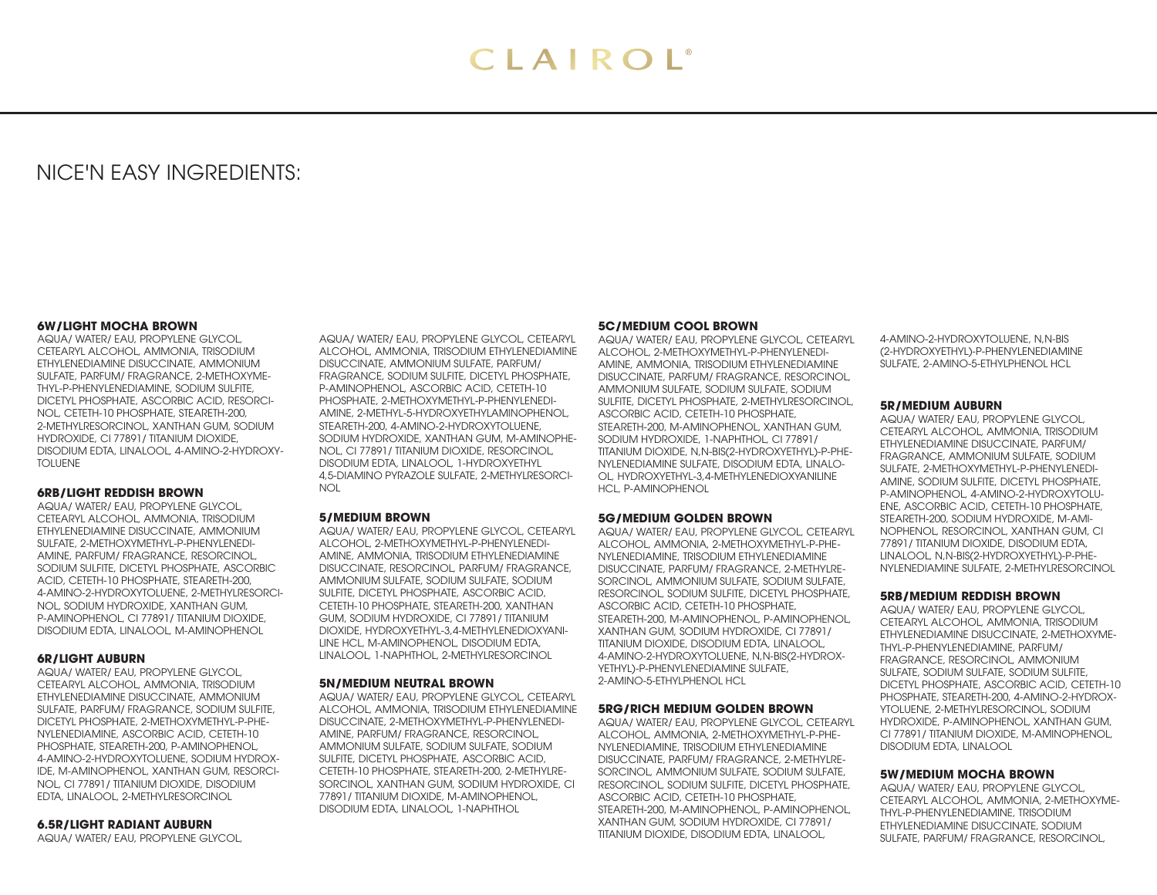# NICE'N EASY INGREDIENTS:

#### **6W/LIGHT MOCHA BROWN**

AQUA/ WATER/ EAU, PROPYLENE GLYCOL, CETEARYL ALCOHOL, AMMONIA, TRISODIUM ETHYLENEDIAMINE DISUCCINATE, AMMONIUM SULFATE, PARFUM/ FRAGRANCE, 2-METHOXYME-THYL-P-PHENYLENEDIAMINE, SODIUM SULFITE, DICETYL PHOSPHATE, ASCORBIC ACID, RESORCI-NOL, CETETH-10 PHOSPHATE, STEARETH-200, 2-METHYLRESORCINOL, XANTHAN GUM, SODIUM HYDROXIDE, CI 77891/ TITANIUM DIOXIDE, DISODIUM EDTA, LINALOOL, 4-AMINO-2-HYDROXY-TOLUENE

#### **6RB/LIGHT REDDISH BROWN**

AQUA/ WATER/ EAU, PROPYLENE GLYCOL, CETEARYL ALCOHOL, AMMONIA, TRISODIUM ETHYLENEDIAMINE DISUCCINATE, AMMONIUM SULFATE, 2-METHOXYMETHYL-P-PHENYLENEDI-AMINE, PARFUM/ FRAGRANCE, RESORCINOL, SODIUM SULFITE, DICETYL PHOSPHATE, ASCORBIC ACID, CETETH-10 PHOSPHATE, STEARETH-200, 4-AMINO-2-HYDROXYTOLUENE, 2-METHYLRESORCI-NOL, SODIUM HYDROXIDE, XANTHAN GUM, P-AMINOPHENOL, CI 77891/ TITANIUM DIOXIDE, DISODIUM EDTA, LINALOOL, M-AMINOPHENOL

# **6R/LIGHT AUBURN**

AQUA/ WATER/ EAU, PROPYLENE GLYCOL, CETEARYL ALCOHOL, AMMONIA, TRISODIUM ETHYLENEDIAMINE DISUCCINATE, AMMONIUM SULFATE, PARFUM/ FRAGRANCE, SODIUM SULFITE, DICETYL PHOSPHATE, 2-METHOXYMETHYL-P-PHE-NYLENEDIAMINE, ASCORBIC ACID, CETETH-10 PHOSPHATE, STEARETH-200, P-AMINOPHENOL, 4-AMINO-2-HYDROXYTOLUENE, SODIUM HYDROX-IDE, M-AMINOPHENOL, XANTHAN GUM, RESORCI-NOL, CI 77891/ TITANIUM DIOXIDE, DISODIUM EDTA, LINALOOL, 2-METHYLRESORCINOL

#### **6.5R/LIGHT RADIANT AUBURN**

AQUA/ WATER/ EAU, PROPYLENE GLYCOL,

AQUA/ WATER/ EAU, PROPYLENE GLYCOL, CETEARYL ALCOHOL, AMMONIA, TRISODIUM ETHYLENEDIAMINE DISUCCINATE, AMMONIUM SULFATE, PARFUM/ FRAGRANCE, SODIUM SULFITE, DICETYL PHOSPHATE, P-AMINOPHENOL, ASCORBIC ACID, CETETH-10 PHOSPHATE, 2-METHOXYMETHYL-P-PHENYLENEDI-AMINE, 2-METHYL-5-HYDROXYETHYLAMINOPHENOL, STEARETH-200, 4-AMINO-2-HYDROXYTOLUENE, SODIUM HYDROXIDE, XANTHAN GUM, M-AMINOPHE-NOL, CI 77891/ TITANIUM DIOXIDE, RESORCINOL, DISODIUM EDTA, LINALOOL, 1-HYDROXYETHYL 4,5-DIAMINO PYRAZOLE SULFATE, 2-METHYLRESORCI-NOL

### **5/MEDIUM BROWN**

AQUA/ WATER/ EAU, PROPYLENE GLYCOL, CETEARYL ALCOHOL, 2-METHOXYMETHYL-P-PHENYLENEDI-AMINE, AMMONIA, TRISODIUM ETHYLENEDIAMINE DISUCCINATE, RESORCINOL, PARFUM/ FRAGRANCE, AMMONIUM SULFATE, SODIUM SULFATE, SODIUM SULFITE, DICETYL PHOSPHATE, ASCORBIC ACID, CETETH-10 PHOSPHATE, STEARETH-200, XANTHAN GUM, SODIUM HYDROXIDE, CI 77891/ TITANIUM DIOXIDE, HYDROXYETHYL-3,4-METHYLENEDIOXYANI-LINE HCL, M-AMINOPHENOL, DISODIUM EDTA, LINALOOL, 1-NAPHTHOL, 2-METHYLRESORCINOL

#### **5N/MEDIUM NEUTRAL BROWN**

AQUA/ WATER/ EAU, PROPYLENE GLYCOL, CETEARYL ALCOHOL, AMMONIA, TRISODIUM ETHYLENEDIAMINE DISUCCINATE, 2-METHOXYMETHYL-P-PHENYLENEDI-AMINE, PARFUM/ FRAGRANCE, RESORCINOL, AMMONIUM SULFATE, SODIUM SULFATE, SODIUM SULFITE, DICETYL PHOSPHATE, ASCORBIC ACID, CETETH-10 PHOSPHATE, STEARETH-200, 2-METHYLRE-SORCINOL, XANTHAN GUM, SODIUM HYDROXIDE, CI 77891/ TITANIUM DIOXIDE, M-AMINOPHENOL, DISODIUM EDTA, LINALOOL, 1-NAPHTHOL

# **5C/MEDIUM COOL BROWN**

AQUA/ WATER/ EAU, PROPYLENE GLYCOL, CETEARYL ALCOHOL, 2-METHOXYMETHYL-P-PHENYLENEDI-AMINE, AMMONIA, TRISODIUM ETHYLENEDIAMINE DISUCCINATE, PARFUM/ FRAGRANCE, RESORCINOL, AMMONIUM SULFATE, SODIUM SULFATE, SODIUM SULFITE, DICETYL PHOSPHATE, 2-METHYLRESORCINOL, ASCORBIC ACID, CETETH-10 PHOSPHATE, STEARETH-200, M-AMINOPHENOL, XANTHAN GUM, SODIUM HYDROXIDE, 1-NAPHTHOL, CI 77891/ TITANIUM DIOXIDE, N,N-BIS(2-HYDROXYETHYL)-P-PHE-NYLENEDIAMINE SULFATE, DISODIUM EDTA, LINALO-OL, HYDROXYETHYL-3,4-METHYLENEDIOXYANILINE HCL, P-AMINOPHENOL

#### **5G/MEDIUM GOLDEN BROWN**

AQUA/ WATER/ EAU, PROPYLENE GLYCOL, CETEARYL ALCOHOL, AMMONIA, 2-METHOXYMETHYL-P-PHE-NYLENEDIAMINE, TRISODIUM ETHYLENEDIAMINE DISUCCINATE, PARFUM/ FRAGRANCE, 2-METHYLRE-SORCINOL, AMMONIUM SULFATE, SODIUM SULFATE, RESORCINOL, SODIUM SULFITE, DICETYL PHOSPHATE, ASCORBIC ACID, CETETH-10 PHOSPHATE, STEARETH-200, M-AMINOPHENOL, P-AMINOPHENOL, XANTHAN GUM, SODIUM HYDROXIDE, CI 77891/ TITANIUM DIOXIDE, DISODIUM EDTA, LINALOOL, 4-AMINO-2-HYDROXYTOLUENE, N,N-BIS(2-HYDROX-YETHYL)-P-PHENYLENEDIAMINE SULFATE, 2-AMINO-5-ETHYLPHENOL HCL

#### **5RG/RICH MEDIUM GOLDEN BROWN**

AQUA/ WATER/ EAU, PROPYLENE GLYCOL, CETEARYL ALCOHOL, AMMONIA, 2-METHOXYMETHYL-P-PHE-NYLENEDIAMINE, TRISODIUM ETHYLENEDIAMINE DISUCCINATE, PARFUM/ FRAGRANCE, 2-METHYLRE-SORCINOL, AMMONIUM SULFATE, SODIUM SULFATE, RESORCINOL, SODIUM SULFITE, DICETYL PHOSPHATE, ASCORBIC ACID, CETETH-10 PHOSPHATE, STEARETH-200, M-AMINOPHENOL, P-AMINOPHENOL, XANTHAN GUM, SODIUM HYDROXIDE, CI 77891/ TITANIUM DIOXIDE, DISODIUM EDTA, LINALOOL,

4-AMINO-2-HYDROXYTOLUENE, N,N-BIS (2-HYDROXYETHYL)-P-PHENYLENEDIAMINE SULFATE, 2-AMINO-5-ETHYLPHENOL HCL

# **5R/MEDIUM AUBURN**

AQUA/ WATER/ EAU, PROPYLENE GLYCOL, CETEARYL ALCOHOL, AMMONIA, TRISODIUM ETHYLENEDIAMINE DISUCCINATE, PARFUM/ FRAGRANCE, AMMONIUM SULFATE, SODIUM SULFATE, 2-METHOXYMETHYL-P-PHENYLENEDI-AMINE, SODIUM SULFITE, DICETYL PHOSPHATE, P-AMINOPHENOL, 4-AMINO-2-HYDROXYTOLU-ENE, ASCORBIC ACID, CETETH-10 PHOSPHATE, STEARETH-200, SODIUM HYDROXIDE, M-AMI-NOPHENOL, RESORCINOL, XANTHAN GUM, CI 77891/ TITANIUM DIOXIDE, DISODIUM EDTA, LINALOOL, N,N-BIS(2-HYDROXYETHYL)-P-PHE-NYLENEDIAMINE SULFATE, 2-METHYLRESORCINOL

#### **5RB/MEDIUM REDDISH BROWN**

AQUA/ WATER/ EAU, PROPYLENE GLYCOL, CETEARYL ALCOHOL, AMMONIA, TRISODIUM ETHYLENEDIAMINE DISUCCINATE, 2-METHOXYME-THYL-P-PHENYLENEDIAMINE, PARFUM/ FRAGRANCE, RESORCINOL, AMMONIUM SULFATE, SODIUM SULFATE, SODIUM SULFITE, DICETYL PHOSPHATE, ASCORBIC ACID, CETETH-10 PHOSPHATE, STEARETH-200, 4-AMINO-2-HYDROX-YTOLUENE, 2-METHYLRESORCINOL, SODIUM HYDROXIDE, P-AMINOPHENOL, XANTHAN GUM, CI 77891/ TITANIUM DIOXIDE, M-AMINOPHENOL, DISODIUM EDTA, LINALOOL

#### **5W/MEDIUM MOCHA BROWN**

AQUA/ WATER/ EAU, PROPYLENE GLYCOL, CETEARYL ALCOHOL, AMMONIA, 2-METHOXYME-THYL-P-PHENYLENEDIAMINE, TRISODIUM ETHYLENEDIAMINE DISUCCINATE, SODIUM SULFATE, PARFUM/ FRAGRANCE, RESORCINOL,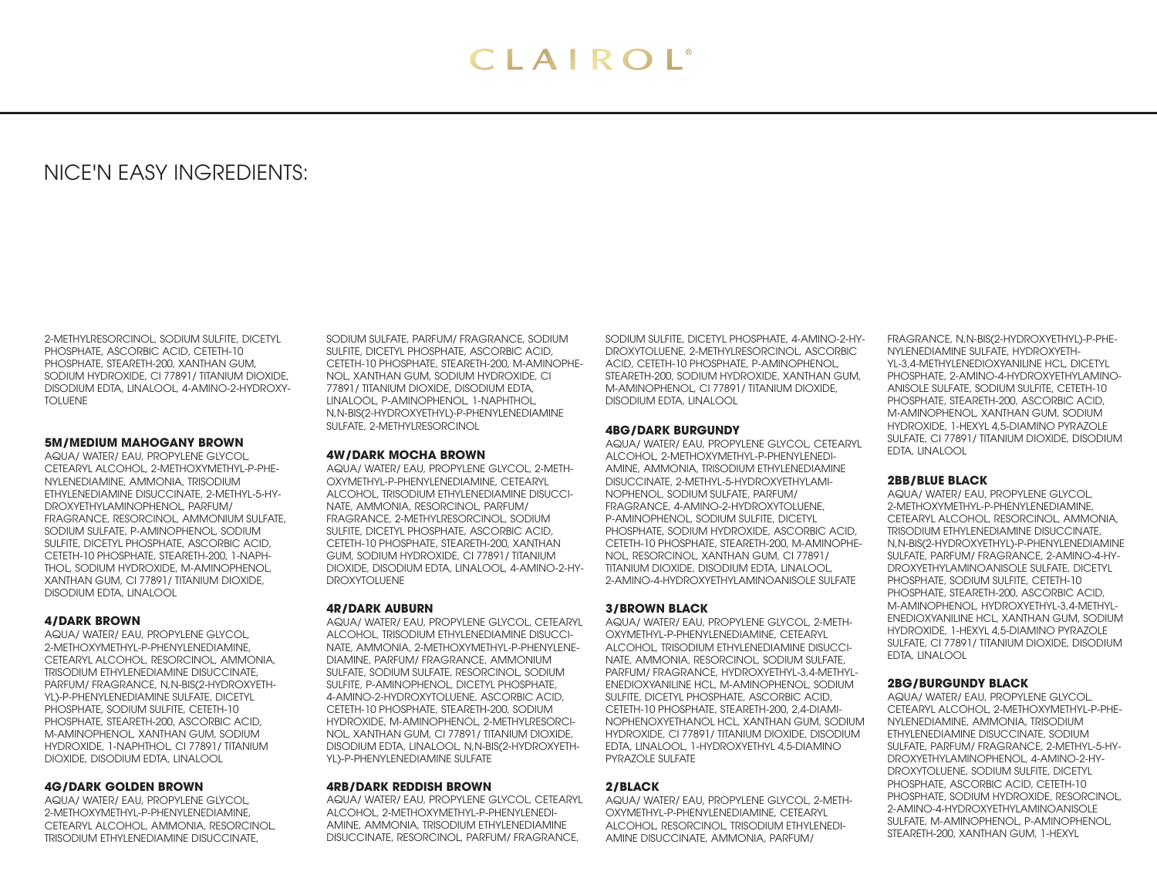# NICE'N EASY INGREDIENTS:

2-METHYLRESORCINOL, SODIUM SULFITE, DICETYL PHOSPHATE, ASCORBIC ACID, CETETH-10 PHOSPHATE, STEARETH-200, XANTHAN GUM, SODIUM HYDROXIDE, CI 77891/ TITANIUM DIOXIDE, DISODIUM EDTA, LINALOOL, 4-AMINO-2-HYDROXY-TOLUENE

# **5M/MEDIUM MAHOGANY BROWN**

AQUA/ WATER/ EAU, PROPYLENE GLYCOL, CETEARYL ALCOHOL, 2-METHOXYMETHYL-P-PHE-NYLENEDIAMINE, AMMONIA, TRISODIUM ETHYLENEDIAMINE DISUCCINATE, 2-METHYL-5-HY-DROXYETHYLAMINOPHENOL, PARFUM/ FRAGRANCE, RESORCINOL, AMMONIUM SULFATE, SODIUM SULFATE, P-AMINOPHENOL, SODIUM SULFITE, DICETYL PHOSPHATE, ASCORBIC ACID, CETETH-10 PHOSPHATE, STEARETH-200, 1-NAPH-THOL, SODIUM HYDROXIDE, M-AMINOPHENOL, XANTHAN GUM, CI 77891/ TITANIUM DIOXIDE, DISODIUM EDTA, LINALOOL

#### **4/DARK BROWN**

AQUA/ WATER/ EAU, PROPYLENE GLYCOL, 2-METHOXYMETHYL-P-PHENYLENEDIAMINE, CETEARYL ALCOHOL, RESORCINOL, AMMONIA, TRISODIUM ETHYLENEDIAMINE DISUCCINATE, PARFUM/ FRAGRANCE, N,N-BIS(2-HYDROXYETH-YL)-P-PHENYLENEDIAMINE SULFATE, DICETYL PHOSPHATE, SODIUM SULFITE, CETETH-10 PHOSPHATE, STEARETH-200, ASCORBIC ACID, M-AMINOPHENOL, XANTHAN GUM, SODIUM HYDROXIDE, 1-NAPHTHOL, CI 77891/ TITANIUM DIOXIDE, DISODIUM EDTA, LINALOOL

#### **4G/DARK GOLDEN BROWN**

AQUA/ WATER/ EAU, PROPYLENE GLYCOL, 2-METHOXYMETHYL-P-PHENYLENEDIAMINE, CETEARYL ALCOHOL, AMMONIA, RESORCINOL, TRISODIUM ETHYLENEDIAMINE DISUCCINATE,

SODIUM SULFATE, PARFUM/ FRAGRANCE, SODIUM SULFITE, DICETYL PHOSPHATE, ASCORBIC ACID, CETETH-10 PHOSPHATE, STEARETH-200, M-AMINOPHE-NOL, XANTHAN GUM, SODIUM HYDROXIDE, CI 77891/ TITANIUM DIOXIDE, DISODIUM EDTA, LINALOOL, P-AMINOPHENOL, 1-NAPHTHOL, N,N-BIS(2-HYDROXYETHYL)-P-PHENYLENEDIAMINE SULFATE, 2-METHYLRESORCINOL

# **4W/DARK MOCHA BROWN**

AQUA/ WATER/ EAU, PROPYLENE GLYCOL, 2-METH-OXYMETHYL-P-PHENYLENEDIAMINE, CETEARYL ALCOHOL, TRISODIUM ETHYLENEDIAMINE DISUCCI-NATE, AMMONIA, RESORCINOL, PARFUM/ FRAGRANCE, 2-METHYLRESORCINOL, SODIUM SULFITE, DICETYL PHOSPHATE, ASCORBIC ACID, CETETH-10 PHOSPHATE, STEARETH-200, XANTHAN GUM, SODIUM HYDROXIDE, CI 77891/ TITANIUM DIOXIDE, DISODIUM EDTA, LINALOOL, 4-AMINO-2-HY-DROXYTOLUENE

#### **4R/DARK AUBURN**

AQUA/ WATER/ EAU, PROPYLENE GLYCOL, CETEARYL ALCOHOL, TRISODIUM ETHYLENEDIAMINE DISUCCI-NATE, AMMONIA, 2-METHOXYMETHYL-P-PHENYLENE-DIAMINE, PARFUM/ FRAGRANCE, AMMONIUM SULFATE, SODIUM SULFATE, RESORCINOL, SODIUM SULFITE, P-AMINOPHENOL, DICETYL PHOSPHATE, 4-AMINO-2-HYDROXYTOLUENE, ASCORBIC ACID, CETETH-10 PHOSPHATE, STEARETH-200, SODIUM HYDROXIDE, M-AMINOPHENOL, 2-METHYLRESORCI-NOL, XANTHAN GUM, CI 77891/ TITANIUM DIOXIDE, DISODIUM EDTA, LINALOOL, N,N-BIS(2-HYDROXYETH-YL)-P-PHENYLENEDIAMINE SULFATE

#### **4RB/DARK REDDISH BROWN**

AQUA/ WATER/ EAU, PROPYLENE GLYCOL, CETEARYL ALCOHOL, 2-METHOXYMETHYL-P-PHENYLENEDI-AMINE, AMMONIA, TRISODIUM ETHYLENEDIAMINE DISUCCINATE, RESORCINOL, PARFUM/ FRAGRANCE,

SODIUM SULFITE, DICETYL PHOSPHATE, 4-AMINO-2-HY-DROXYTOLUENE, 2-METHYLRESORCINOL, ASCORBIC ACID, CETETH-10 PHOSPHATE, P-AMINOPHENOL, STEARETH-200, SODIUM HYDROXIDE, XANTHAN GUM, M-AMINOPHENOL, CI 77891/ TITANIUM DIOXIDE, DISODIUM EDTA, LINALOOL

#### **4BG/DARK BURGUNDY**

AQUA/ WATER/ EAU, PROPYLENE GLYCOL, CETEARYL ALCOHOL, 2-METHOXYMETHYL-P-PHENYLENEDI-AMINE, AMMONIA, TRISODIUM ETHYLENEDIAMINE DISUCCINATE, 2-METHYL-5-HYDROXYETHYLAMI-NOPHENOL, SODIUM SULFATE, PARFUM/ FRAGRANCE, 4-AMINO-2-HYDROXYTOLUENE, P-AMINOPHENOL, SODIUM SULFITE, DICETYL PHOSPHATE, SODIUM HYDROXIDE, ASCORBIC ACID, CETETH-10 PHOSPHATE, STEARETH-200, M-AMINOPHE-NOL, RESORCINOL, XANTHAN GUM, CI 77891/ TITANIUM DIOXIDE, DISODIUM EDTA, LINALOOL, 2-AMINO-4-HYDROXYETHYLAMINOANISOLE SULFATE

# **3/BROWN BLACK**

AQUA/ WATER/ EAU, PROPYLENE GLYCOL, 2-METH-OXYMETHYL-P-PHENYLENEDIAMINE, CETEARYL ALCOHOL, TRISODIUM ETHYLENEDIAMINE DISUCCI-NATE, AMMONIA, RESORCINOL, SODIUM SULFATE, PARFUM/ FRAGRANCE, HYDROXYETHYL-3,4-METHYL-ENEDIOXYANILINE HCL, M-AMINOPHENOL, SODIUM SULFITE, DICETYL PHOSPHATE, ASCORBIC ACID, CETETH-10 PHOSPHATE, STEARETH-200, 2,4-DIAMI-NOPHENOXYETHANOL HCL, XANTHAN GUM, SODIUM HYDROXIDE, CI 77891/ TITANIUM DIOXIDE, DISODIUM EDTA, LINALOOL, 1-HYDROXYETHYL 4,5-DIAMINO PYRAZOLE SULFATE

#### **2/BLACK**

AQUA/ WATER/ EAU, PROPYLENE GLYCOL, 2-METH-OXYMETHYL-P-PHENYLENEDIAMINE, CETEARYL ALCOHOL, RESORCINOL, TRISODIUM ETHYLENEDI-AMINE DISUCCINATE, AMMONIA, PARFUM/

FRAGRANCE, N,N-BIS(2-HYDROXYETHYL)-P-PHE-NYLENEDIAMINE SULFATE, HYDROXYETH-YL-3,4-METHYLENEDIOXYANILINE HCL, DICETYL PHOSPHATE, 2-AMINO-4-HYDROXYETHYLAMINO-ANISOLE SULFATE, SODIUM SULFITE, CETETH-10 PHOSPHATE, STEARETH-200, ASCORBIC ACID, M-AMINOPHENOL, XANTHAN GUM, SODIUM HYDROXIDE, 1-HEXYL 4,5-DIAMINO PYRAZOLE SULFATE, CI 77891/ TITANIUM DIOXIDE, DISODIUM EDTA, LINALOOL

# **2BB/BLUE BLACK**

AQUA/ WATER/ EAU, PROPYLENE GLYCOL, 2-METHOXYMETHYL-P-PHENYLENEDIAMINE, CETEARYL ALCOHOL, RESORCINOL, AMMONIA, TRISODIUM ETHYLENEDIAMINE DISUCCINATE, N,N-BIS(2-HYDROXYETHYL)-P-PHENYLENEDIAMINE SULFATE, PARFUM/ FRAGRANCE, 2-AMINO-4-HY-DROXYETHYLAMINOANISOLE SULFATE, DICETYL PHOSPHATE, SODIUM SULFITE, CETETH-10 PHOSPHATE, STEARETH-200, ASCORBIC ACID, M-AMINOPHENOL, HYDROXYETHYL-3,4-METHYL-ENEDIOXYANILINE HCL, XANTHAN GUM, SODIUM HYDROXIDE, 1-HEXYL 4,5-DIAMINO PYRAZOLE SULFATE, CI 77891/ TITANIUM DIOXIDE, DISODIUM EDTA, LINALOOL

#### **2BG/BURGUNDY BLACK**

AQUA/ WATER/ EAU, PROPYLENE GLYCOL, CETEARYL ALCOHOL, 2-METHOXYMETHYL-P-PHE-NYLENEDIAMINE, AMMONIA, TRISODIUM ETHYLENEDIAMINE DISUCCINATE, SODIUM SULFATE, PARFUM/ FRAGRANCE, 2-METHYL-5-HY-DROXYETHYLAMINOPHENOL, 4-AMINO-2-HY-DROXYTOLUENE, SODIUM SULFITE, DICETYL PHOSPHATE, ASCORBIC ACID, CETETH-10 PHOSPHATE, SODIUM HYDROXIDE, RESORCINOL, 2-AMINO-4-HYDROXYETHYLAMINOANISOLE SULFATE, M-AMINOPHENOL, P-AMINOPHENOL, STEARETH-200, XANTHAN GUM, 1-HEXYL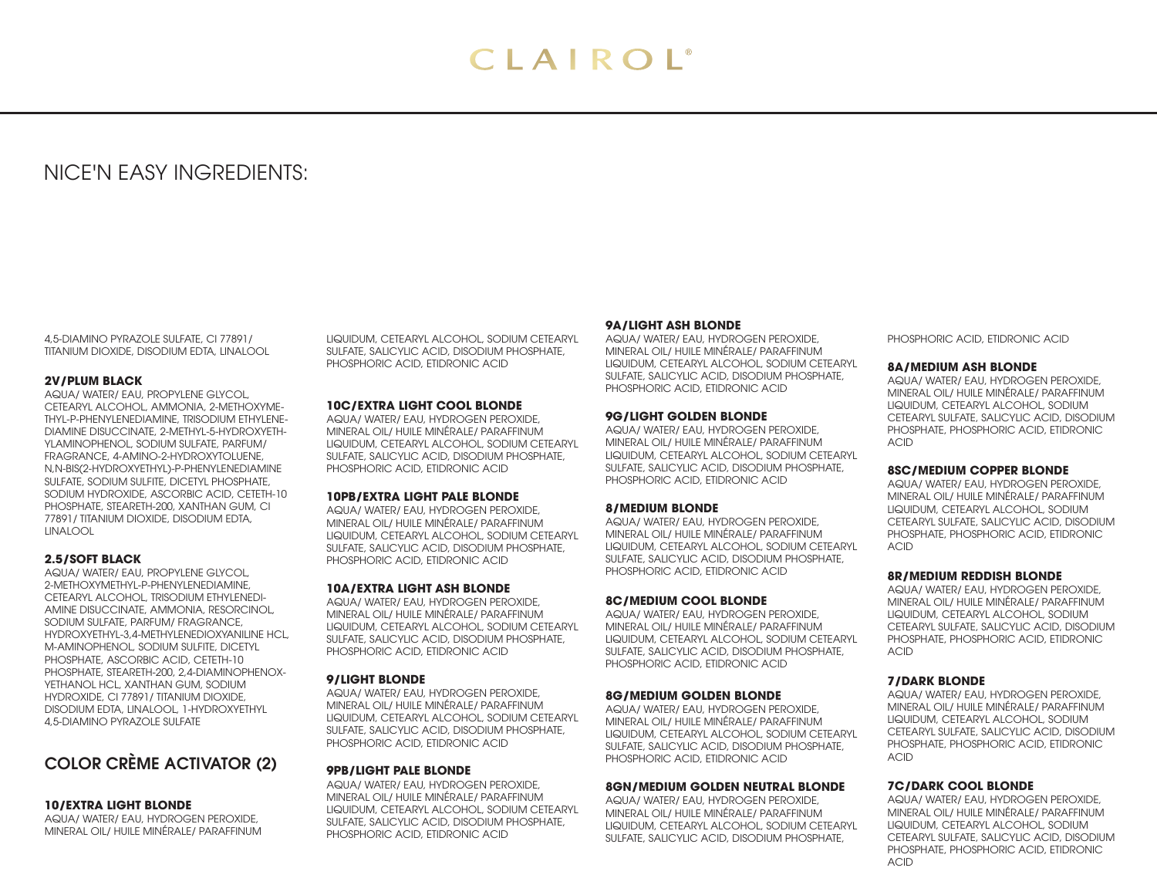# NICE'N EASY INGREDIENTS:

4,5-DIAMINO PYRAZOLE SULFATE, CI 77891/ TITANIUM DIOXIDE, DISODIUM EDTA, LINALOOL

# **2V/PLUM BLACK**

AQUA/ WATER/ EAU, PROPYLENE GLYCOL, CETEARYL ALCOHOL, AMMONIA, 2-METHOXYME-THYL-P-PHENYLENEDIAMINE, TRISODIUM ETHYLENE-DIAMINE DISUCCINATE, 2-METHYL-5-HYDROXYETH-YLAMINOPHENOL, SODIUM SULFATE, PARFUM/ FRAGRANCE, 4-AMINO-2-HYDROXYTOLUENE, N,N-BIS(2-HYDROXYETHYL)-P-PHENYLENEDIAMINE SULFATE, SODIUM SULFITE, DICETYL PHOSPHATE, SODIUM HYDROXIDE, ASCORBIC ACID, CETETH-10 PHOSPHATE, STEARETH-200, XANTHAN GUM, CI 77891/ TITANIUM DIOXIDE, DISODIUM EDTA, LINALOOL

# **2.5/SOFT BLACK**

AQUA/ WATER/ EAU, PROPYLENE GLYCOL, 2-METHOXYMETHYL-P-PHENYLENEDIAMINE, CETEARYL ALCOHOL, TRISODIUM ETHYLENEDI-AMINE DISUCCINATE, AMMONIA, RESORCINOL, SODIUM SULFATE, PARFUM/ FRAGRANCE, HYDROXYETHYL-3,4-METHYLENEDIOXYANILINE HCL, M-AMINOPHENOL, SODIUM SULFITE, DICETYL PHOSPHATE, ASCORBIC ACID, CETETH-10 PHOSPHATE, STEARETH-200, 2,4-DIAMINOPHENOX-YETHANOL HCL, XANTHAN GUM, SODIUM HYDROXIDE, CI 77891/ TITANIUM DIOXIDE, DISODIUM EDTA, LINALOOL, 1-HYDROXYETHYL 4,5-DIAMINO PYRAZOLE SULFATE

# COLOR CRÈME ACTIVATOR (2)

# **10/EXTRA LIGHT BLONDE**

AQUA/ WATER/ EAU, HYDROGEN PEROXIDE, MINERAL OIL/ HUILE MINÉRALE/ PARAFFINUM

LIQUIDUM, CETEARYL ALCOHOL, SODIUM CETEARYL SULFATE, SALICYLIC ACID, DISODIUM PHOSPHATE, PHOSPHORIC ACID, ETIDRONIC ACID

# **10C/EXTRA LIGHT COOL BLONDE**

AQUA/ WATER/ EAU, HYDROGEN PEROXIDE, MINERAL OIL/ HUILE MINÉRALE/ PARAFFINUM LIQUIDUM, CETEARYL ALCOHOL, SODIUM CETEARYL SULFATE, SALICYLIC ACID, DISODIUM PHOSPHATE, PHOSPHORIC ACID, ETIDRONIC ACID

# **10PB/EXTRA LIGHT PALE BLONDE**

AQUA/ WATER/ EAU, HYDROGEN PEROXIDE, MINERAL OIL/ HUILE MINÉRALE/ PARAFFINUM LIQUIDUM, CETEARYL ALCOHOL, SODIUM CETEARYL SULFATE, SALICYLIC ACID, DISODIUM PHOSPHATE, PHOSPHORIC ACID, ETIDRONIC ACID

#### **10A/EXTRA LIGHT ASH BLONDE**

AQUA/ WATER/ EAU, HYDROGEN PEROXIDE, MINERAL OIL/ HUILE MINÉRALE/ PARAFFINUM LIQUIDUM, CETEARYL ALCOHOL, SODIUM CETEARYL SULFATE, SALICYLIC ACID, DISODIUM PHOSPHATE, PHOSPHORIC ACID, ETIDRONIC ACID

# **9/LIGHT BLONDE**

AQUA/ WATER/ EAU, HYDROGEN PEROXIDE, MINERAL OIL/ HUILE MINÉRALE/ PARAFFINUM LIQUIDUM, CETEARYL ALCOHOL, SODIUM CETEARYL SULFATE, SALICYLIC ACID, DISODIUM PHOSPHATE, PHOSPHORIC ACID, ETIDRONIC ACID

# **9PB/LIGHT PALE BLONDE**

AQUA/ WATER/ EAU, HYDROGEN PEROXIDE, MINERAL OIL/ HUILE MINÉRALE/ PARAFFINUM LIQUIDUM, CETEARYL ALCOHOL, SODIUM CETEARYL SULFATE, SALICYLIC ACID, DISODIUM PHOSPHATE, PHOSPHORIC ACID, ETIDRONIC ACID

# **9A/LIGHT ASH BLONDE**

AQUA/ WATER/ EAU, HYDROGEN PEROXIDE, MINERAL OIL/ HUILE MINÉRALE/ PARAFFINUM LIQUIDUM, CETEARYL ALCOHOL, SODIUM CETEARYL SULFATE, SALICYLIC ACID, DISODIUM PHOSPHATE, PHOSPHORIC ACID, ETIDRONIC ACID

#### **9G/LIGHT GOLDEN BLONDE**

AQUA/ WATER/ EAU, HYDROGEN PEROXIDE, MINERAL OIL/ HUILE MINÉRALE/ PARAFFINUM LIQUIDUM, CETEARYL ALCOHOL, SODIUM CETEARYL SULFATE, SALICYLIC ACID, DISODIUM PHOSPHATE, PHOSPHORIC ACID, ETIDRONIC ACID

# **8/MEDIUM BLONDE**

AQUA/ WATER/ EAU, HYDROGEN PEROXIDE, MINERAL OIL/ HUILE MINÉRALE/ PARAFFINUM LIQUIDUM, CETEARYL ALCOHOL, SODIUM CETEARYL SULFATE, SALICYLIC ACID, DISODIUM PHOSPHATE, PHOSPHORIC ACID, ETIDRONIC ACID

#### **8C/MEDIUM COOL BLONDE**

AQUA/ WATER/ EAU, HYDROGEN PEROXIDE, MINERAL OIL/ HUILE MINÉRALE/ PARAFFINUM LIQUIDUM, CETEARYL ALCOHOL, SODIUM CETEARYL SULFATE, SALICYLIC ACID, DISODIUM PHOSPHATE, PHOSPHORIC ACID, ETIDRONIC ACID

#### **8G/MEDIUM GOLDEN BLONDE**

AQUA/ WATER/ EAU, HYDROGEN PEROXIDE, MINERAL OIL/ HUILE MINÉRALE/ PARAFFINUM LIQUIDUM, CETEARYL ALCOHOL, SODIUM CETEARYL SULFATE, SALICYLIC ACID, DISODIUM PHOSPHATE, PHOSPHORIC ACID, ETIDRONIC ACID

#### **8GN/MEDIUM GOLDEN NEUTRAL BLONDE**

AQUA/ WATER/ EAU, HYDROGEN PEROXIDE, MINERAL OIL/ HUILE MINÉRALE/ PARAFFINUM LIQUIDUM, CETEARYL ALCOHOL, SODIUM CETEARYL SULFATE, SALICYLIC ACID, DISODIUM PHOSPHATE,

PHOSPHORIC ACID, ETIDRONIC ACID

#### **8A/MEDIUM ASH BLONDE**

AQUA/ WATER/ EAU, HYDROGEN PEROXIDE, MINERAL OIL/ HUILE MINÉRALE/ PARAFFINUM LIQUIDUM, CETEARYL ALCOHOL, SODIUM CETEARYL SULFATE, SALICYLIC ACID, DISODIUM PHOSPHATE, PHOSPHORIC ACID, ETIDRONIC ACID

#### **8SC/MEDIUM COPPER BLONDE**

AQUA/ WATER/ EAU, HYDROGEN PEROXIDE, MINERAL OIL/ HUILE MINÉRALE/ PARAFFINUM LIQUIDUM, CETEARYL ALCOHOL, SODIUM CETEARYL SULFATE, SALICYLIC ACID, DISODIUM PHOSPHATE, PHOSPHORIC ACID, ETIDRONIC ACID

# **8R/MEDIUM REDDISH BLONDE**

AQUA/ WATER/ EAU, HYDROGEN PEROXIDE, MINERAL OIL/ HUILE MINÉRALE/ PARAFFINUM LIQUIDUM, CETEARYL ALCOHOL, SODIUM CETEARYL SULFATE, SALICYLIC ACID, DISODIUM PHOSPHATE, PHOSPHORIC ACID, ETIDRONIC ACID

#### **7/DARK BLONDE**

AQUA/ WATER/ EAU, HYDROGEN PEROXIDE, MINERAL OIL/ HUILE MINÉRALE/ PARAFFINUM LIQUIDUM, CETEARYL ALCOHOL, SODIUM CETEARYL SULFATE, SALICYLIC ACID, DISODIUM PHOSPHATE, PHOSPHORIC ACID, ETIDRONIC ACID

#### **7C/DARK COOL BLONDE**

AQUA/ WATER/ EAU, HYDROGEN PEROXIDE, MINERAL OIL/ HUILE MINÉRALE/ PARAFFINUM LIQUIDUM, CETEARYL ALCOHOL, SODIUM CETEARYL SULFATE, SALICYLIC ACID, DISODIUM PHOSPHATE, PHOSPHORIC ACID, ETIDRONIC ACID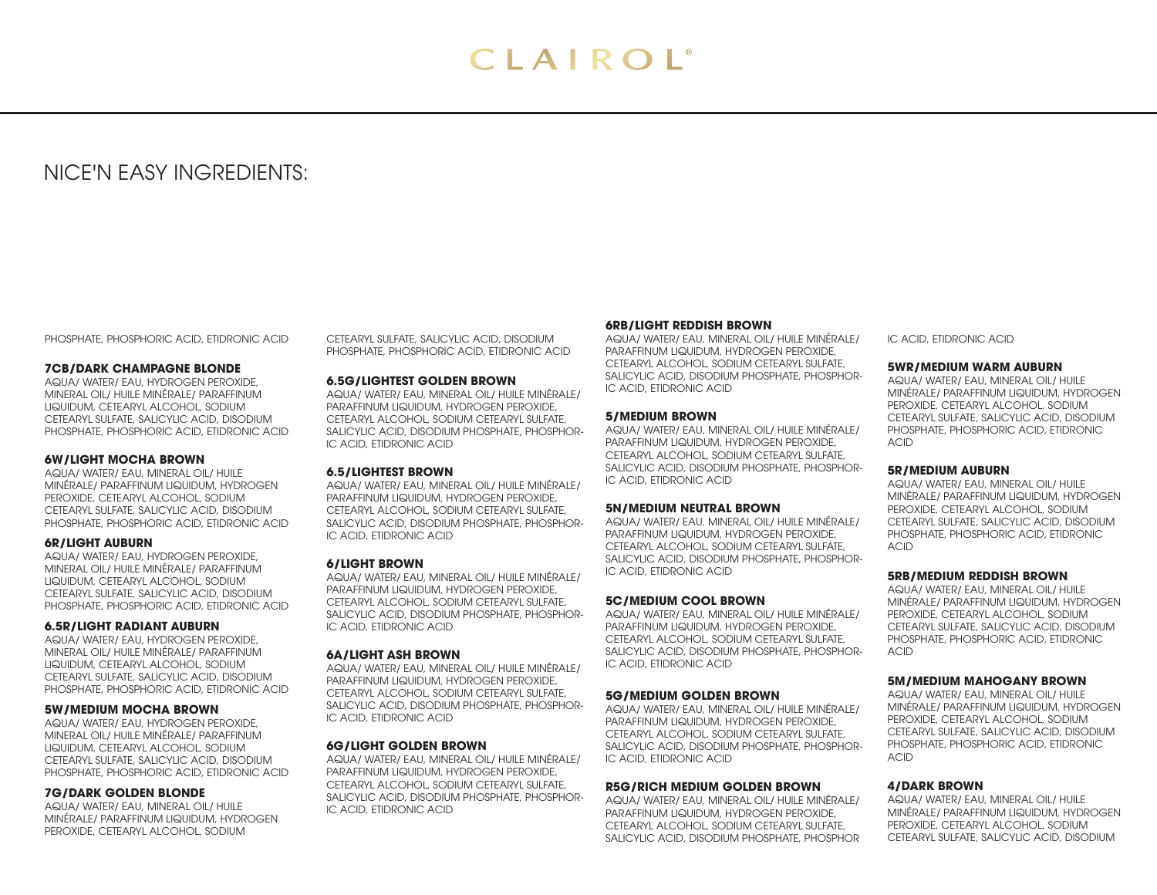# NICE'N EASY INGREDIENTS:

PHOSPHATE, PHOSPHORIC ACID, ETIDRONIC ACID

# **7CB/DARK CHAMPAGNE BLONDE**

AQUA/ WATER/ EAU, HYDROGEN PEROXIDE, MINERAL OIL/ HUILE MINÉRALE/ PARAFFINUM LIQUIDUM, CETEARYL ALCOHOL, SODIUM CETEARYL SULFATE, SALICYLIC ACID, DISODIUM PHOSPHATE, PHOSPHORIC ACID, ETIDRONIC ACID

#### **6W/LIGHT MOCHA BROWN**

AQUA/ WATER/ EAU, MINERAL OIL/ HUILE MINÉRALE/ PARAFFINUM LIQUIDUM, HYDROGEN PEROXIDE, CETEARYL ALCOHOL, SODIUM CETEARYL SULFATE, SALICYLIC ACID, DISODIUM PHOSPHATE, PHOSPHORIC ACID, ETIDRONIC ACID

#### **6R/LIGHT AUBURN**

AQUA/ WATER/ EAU, HYDROGEN PEROXIDE, MINERAL OIL/ HUILE MINÉRALE/ PARAFFINUM LIQUIDUM, CETEARYL ALCOHOL, SODIUM CETEARYL SULFATE, SALICYLIC ACID, DISODIUM PHOSPHATE, PHOSPHORIC ACID, ETIDRONIC ACID

#### **6.5R/LIGHT RADIANT AUBURN**

AQUA/ WATER/ EAU, HYDROGEN PEROXIDE, MINERAL OIL/ HUILE MINÉRALE/ PARAFFINUM LIQUIDUM, CETEARYL ALCOHOL, SODIUM CETEARYL SULFATE, SALICYLIC ACID, DISODIUM PHOSPHATE, PHOSPHORIC ACID, ETIDRONIC ACID

# **5W/MEDIUM MOCHA BROWN**

AQUA/ WATER/ EAU, HYDROGEN PEROXIDE, MINERAL OIL/ HUILE MINÉRALE/ PARAFFINUM LIQUIDUM, CETEARYL ALCOHOL, SODIUM CETEARYL SULFATE, SALICYLIC ACID, DISODIUM PHOSPHATE, PHOSPHORIC ACID, ETIDRONIC ACID

#### **7G/DARK GOLDEN BLONDE**

AQUA/ WATER/ EAU, MINERAL OIL/ HUILE MINÉRALE/ PARAFFINUM LIQUIDUM, HYDROGEN PEROXIDE, CETEARYL ALCOHOL, SODIUM

CETEARYL SULFATE, SALICYLIC ACID, DISODIUM PHOSPHATE, PHOSPHORIC ACID, ETIDRONIC ACID

#### **6.5G/LIGHTEST GOLDEN BROWN**

AQUA/ WATER/ EAU, MINERAL OIL/ HUILE MINÉRALE/ PARAFFINUM LIQUIDUM, HYDROGEN PEROXIDE, CETEARYL ALCOHOL, SODIUM CETEARYL SULFATE, SALICYLIC ACID, DISODIUM PHOSPHATE, PHOSPHOR-IC ACID, ETIDRONIC ACID

# **6.5/LIGHTEST BROWN**

AQUA/ WATER/ EAU, MINERAL OIL/ HUILE MINÉRALE/ PARAFFINUM LIQUIDUM, HYDROGEN PEROXIDE, CETEARYL ALCOHOL, SODIUM CETEARYL SULFATE, SALICYLIC ACID, DISODIUM PHOSPHATE, PHOSPHOR-IC ACID, ETIDRONIC ACID

#### **6/LIGHT BROWN**

AQUA/ WATER/ EAU, MINERAL OIL/ HUILE MINÉRALE/ PARAFFINUM LIQUIDUM, HYDROGEN PEROXIDE, CETEARYL ALCOHOL, SODIUM CETEARYL SULFATE, SALICYLIC ACID, DISODIUM PHOSPHATE, PHOSPHOR-IC ACID, ETIDRONIC ACID

#### **6A/LIGHT ASH BROWN**

AQUA/ WATER/ EAU, MINERAL OIL/ HUILE MINÉRALE/ PARAFFINUM LIQUIDUM, HYDROGEN PEROXIDE, CETEARYL ALCOHOL, SODIUM CETEARYL SULFATE, SALICYLIC ACID, DISODIUM PHOSPHATE, PHOSPHOR-IC ACID, ETIDRONIC ACID

#### **6G/LIGHT GOLDEN BROWN**

AQUA/ WATER/ EAU, MINERAL OIL/ HUILE MINÉRALE/ PARAFFINUM LIQUIDUM, HYDROGEN PEROXIDE, CETEARYL ALCOHOL, SODIUM CETEARYL SULFATE, SALICYLIC ACID, DISODIUM PHOSPHATE, PHOSPHOR-IC ACID, ETIDRONIC ACID

# **6RB/LIGHT REDDISH BROWN**

AQUA/ WATER/ EAU, MINERAL OIL/ HUILE MINÉRALE/ PARAFFINUM LIQUIDUM, HYDROGEN PEROXIDE, CETEARYL ALCOHOL, SODIUM CETEARYL SULFATE, SALICYLIC ACID, DISODIUM PHOSPHATE, PHOSPHOR-IC ACID, ETIDRONIC ACID

#### **5/MEDIUM BROWN**

AQUA/ WATER/ EAU, MINERAL OIL/ HUILE MINÉRALE/ PARAFFINUM LIQUIDUM, HYDROGEN PEROXIDE, CETEARYL ALCOHOL, SODIUM CETEARYL SULFATE, SALICYLIC ACID, DISODIUM PHOSPHATE, PHOSPHOR-IC ACID, ETIDRONIC ACID

#### **5N/MEDIUM NEUTRAL BROWN**

AQUA/ WATER/ EAU, MINERAL OIL/ HUILE MINÉRALE/ PARAFFINUM LIQUIDUM, HYDROGEN PEROXIDE, CETEARYL ALCOHOL, SODIUM CETEARYL SULFATE, SALICYLIC ACID, DISODIUM PHOSPHATE, PHOSPHOR-IC ACID, ETIDRONIC ACID

#### **5C/MEDIUM COOL BROWN**

AQUA/ WATER/ EAU, MINERAL OIL/ HUILE MINÉRALE/ PARAFFINUM LIQUIDUM, HYDROGEN PEROXIDE, CETEARYL ALCOHOL, SODIUM CETEARYL SULFATE, SALICYLIC ACID, DISODIUM PHOSPHATE, PHOSPHOR-IC ACID, ETIDRONIC ACID

# **5G/MEDIUM GOLDEN BROWN**

AQUA/ WATER/ EAU, MINERAL OIL/ HUILE MINÉRALE/ PARAFFINUM LIQUIDUM, HYDROGEN PEROXIDE, CETEARYL ALCOHOL, SODIUM CETEARYL SULFATE, SALICYLIC ACID, DISODIUM PHOSPHATE, PHOSPHOR-IC ACID, ETIDRONIC ACID

#### **R5G/RICH MEDIUM GOLDEN BROWN**

AQUA/ WATER/ EAU, MINERAL OIL/ HUILE MINÉRALE/ PARAFFINUM LIQUIDUM, HYDROGEN PEROXIDE, CETEARYL ALCOHOL, SODIUM CETEARYL SULFATE, SALICYLIC ACID, DISODIUM PHOSPHATE, PHOSPHOR IC ACID, ETIDRONIC ACID

# **5WR/MEDIUM WARM AUBURN**

AQUA/ WATER/ EAU, MINERAL OIL/ HUILE MINÉRALE/ PARAFFINUM LIQUIDUM, HYDROGEN PEROXIDE, CETEARYL ALCOHOL, SODIUM CETEARYL SULFATE, SALICYLIC ACID, DISODIUM PHOSPHATE, PHOSPHORIC ACID, ETIDRONIC ACID

#### **5R/MEDIUM AUBURN**

AQUA/ WATER/ EAU, MINERAL OIL/ HUILE MINÉRALE/ PARAFFINUM LIQUIDUM, HYDROGEN PEROXIDE, CETEARYL ALCOHOL, SODIUM CETEARYL SULFATE, SALICYLIC ACID, DISODIUM PHOSPHATE, PHOSPHORIC ACID, ETIDRONIC ACID

# **5RB/MEDIUM REDDISH BROWN**

AQUA/ WATER/ EAU, MINERAL OIL/ HUILE MINÉRALE/ PARAFFINUM LIQUIDUM, HYDROGEN PEROXIDE, CETEARYL ALCOHOL, SODIUM CETEARYL SULFATE, SALICYLIC ACID, DISODIUM PHOSPHATE, PHOSPHORIC ACID, ETIDRONIC ACID

# **5M/MEDIUM MAHOGANY BROWN**

AQUA/ WATER/ EAU, MINERAL OIL/ HUILE MINÉRALE/ PARAFFINUM LIQUIDUM, HYDROGEN PEROXIDE, CETEARYL ALCOHOL, SODIUM CETEARYL SULFATE, SALICYLIC ACID, DISODIUM PHOSPHATE, PHOSPHORIC ACID, ETIDRONIC ACID

# **4/DARK BROWN**

AQUA/ WATER/ EAU, MINERAL OIL/ HUILE MINÉRALE/ PARAFFINUM LIQUIDUM, HYDROGEN PEROXIDE, CETEARYL ALCOHOL, SODIUM CETEARYL SULFATE, SALICYLIC ACID, DISODIUM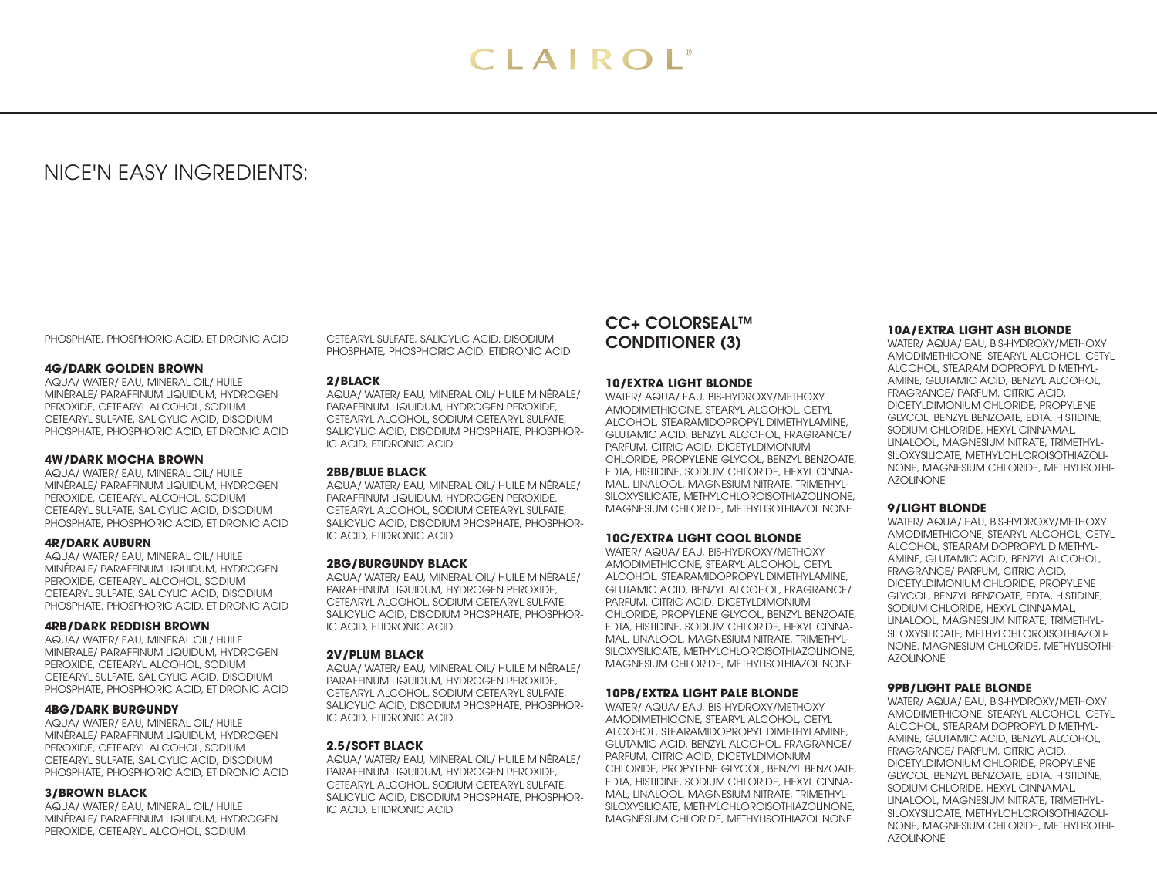# NICE'N EASY INGREDIENTS:

PHOSPHATE, PHOSPHORIC ACID, ETIDRONIC ACID

# **4G/DARK GOLDEN BROWN**

AQUA/ WATER/ EAU, MINERAL OIL/ HUILE MINÉRALE/ PARAFFINUM LIQUIDUM, HYDROGEN PEROXIDE, CETEARYL ALCOHOL, SODIUM CETEARYL SULFATE, SALICYLIC ACID, DISODIUM PHOSPHATE, PHOSPHORIC ACID, ETIDRONIC ACID

# **4W/DARK MOCHA BROWN**

AQUA/ WATER/ EAU, MINERAL OIL/ HUILE MINÉRALE/ PARAFFINUM LIQUIDUM, HYDROGEN PEROXIDE, CETEARYL ALCOHOL, SODIUM CETEARYL SULFATE, SALICYLIC ACID, DISODIUM PHOSPHATE, PHOSPHORIC ACID, ETIDRONIC ACID

#### **4R/DARK AUBURN**

AQUA/ WATER/ EAU, MINERAL OIL/ HUILE MINÉRALE/ PARAFFINUM LIQUIDUM, HYDROGEN PEROXIDE, CETEARYL ALCOHOL, SODIUM CETEARYL SULFATE, SALICYLIC ACID, DISODIUM PHOSPHATE, PHOSPHORIC ACID, ETIDRONIC ACID

#### **4RB/DARK REDDISH BROWN**

AQUA/ WATER/ EAU, MINERAL OIL/ HUILE MINÉRALE/ PARAFFINUM LIQUIDUM, HYDROGEN PEROXIDE, CETEARYL ALCOHOL, SODIUM CETEARYL SULFATE, SALICYLIC ACID, DISODIUM PHOSPHATE, PHOSPHORIC ACID, ETIDRONIC ACID

# **4BG/DARK BURGUNDY**

AQUA/ WATER/ EAU, MINERAL OIL/ HUILE MINÉRALE/ PARAFFINUM LIQUIDUM, HYDROGEN PEROXIDE, CETEARYL ALCOHOL, SODIUM CETEARYL SULFATE, SALICYLIC ACID, DISODIUM PHOSPHATE, PHOSPHORIC ACID, ETIDRONIC ACID

#### **3/BROWN BLACK**

AQUA/ WATER/ EAU, MINERAL OIL/ HUILE MINÉRALE/ PARAFFINUM LIQUIDUM, HYDROGEN PEROXIDE, CETEARYL ALCOHOL, SODIUM

CETEARYL SULFATE, SALICYLIC ACID, DISODIUM PHOSPHATE, PHOSPHORIC ACID, ETIDRONIC ACID

# **2/BLACK**

AQUA/ WATER/ EAU, MINERAL OIL/ HUILE MINÉRALE/ PARAFFINUM LIQUIDUM, HYDROGEN PEROXIDE, CETEARYL ALCOHOL, SODIUM CETEARYL SULFATE, SALICYLIC ACID, DISODIUM PHOSPHATE, PHOSPHOR-IC ACID, ETIDRONIC ACID

# **2BB/BLUE BLACK**

AQUA/ WATER/ EAU, MINERAL OIL/ HUILE MINÉRALE/ PARAFFINUM LIQUIDUM, HYDROGEN PEROXIDE, CETEARYL ALCOHOL, SODIUM CETEARYL SULFATE, SALICYLIC ACID, DISODIUM PHOSPHATE, PHOSPHOR-IC ACID, ETIDRONIC ACID

# **2BG/BURGUNDY BLACK**

AQUA/ WATER/ EAU, MINERAL OIL/ HUILE MINÉRALE/ PARAFFINUM LIQUIDUM, HYDROGEN PEROXIDE, CETEARYL ALCOHOL, SODIUM CETEARYL SULFATE, SALICYLIC ACID, DISODIUM PHOSPHATE, PHOSPHOR-IC ACID, ETIDRONIC ACID

# **2V/PLUM BLACK**

AQUA/ WATER/ EAU, MINERAL OIL/ HUILE MINÉRALE/ PARAFFINUM LIQUIDUM, HYDROGEN PEROXIDE, CETEARYL ALCOHOL, SODIUM CETEARYL SULFATE, SALICYLIC ACID, DISODIUM PHOSPHATE, PHOSPHOR-IC ACID, ETIDRONIC ACID

# **2.5/SOFT BLACK**

AQUA/ WATER/ EAU, MINERAL OIL/ HUILE MINÉRALE/ PARAFFINUM LIQUIDUM, HYDROGEN PEROXIDE, CETEARYL ALCOHOL, SODIUM CETEARYL SULFATE, SALICYLIC ACID, DISODIUM PHOSPHATE, PHOSPHOR-IC ACID, ETIDRONIC ACID

# CC+ COLORSEAL™ CONDITIONER (3)

# **10/EXTRA LIGHT BLONDE**

WATER/ AQUA/ EAU, BIS-HYDROXY/METHOXY AMODIMETHICONE, STEARYL ALCOHOL, CETYL ALCOHOL, STEARAMIDOPROPYL DIMETHYLAMINE, GLUTAMIC ACID, BENZYL ALCOHOL, FRAGRANCE/ PARFUM, CITRIC ACID, DICETYLDIMONIUM CHLORIDE, PROPYLENE GLYCOL, BENZYL BENZOATE, EDTA, HISTIDINE, SODIUM CHLORIDE, HEXYL CINNA-MAL, LINALOOL, MAGNESIUM NITRATE, TRIMETHYL-SILOXYSILICATE, METHYLCHLOROISOTHIAZOLINONE, MAGNESIUM CHLORIDE, METHYLISOTHIAZOLINONE

# **10C/EXTRA LIGHT COOL BLONDE**

WATER/ AQUA/ EAU, BIS-HYDROXY/METHOXY AMODIMETHICONE, STEARYL ALCOHOL, CETYL ALCOHOL, STEARAMIDOPROPYL DIMETHYLAMINE, GLUTAMIC ACID, BENZYL ALCOHOL, FRAGRANCE/ PARFUM, CITRIC ACID, DICETYLDIMONIUM CHLORIDE, PROPYLENE GLYCOL, BENZYL BENZOATE, EDTA, HISTIDINE, SODIUM CHLORIDE, HEXYL CINNA-MAL, LINALOOL, MAGNESIUM NITRATE, TRIMETHYL-SILOXYSILICATE, METHYLCHLOROISOTHIAZOLINONE, MAGNESIUM CHLORIDE, METHYLISOTHIAZOLINONE

# **10PB/EXTRA LIGHT PALE BLONDE**

WATER/ AQUA/ EAU, BIS-HYDROXY/METHOXY AMODIMETHICONE, STEARYL ALCOHOL, CETYL ALCOHOL, STEARAMIDOPROPYL DIMETHYLAMINE, GLUTAMIC ACID, BENZYL ALCOHOL, FRAGRANCE/ PARFUM, CITRIC ACID, DICETYLDIMONIUM CHLORIDE, PROPYLENE GLYCOL, BENZYL BENZOATE, EDTA, HISTIDINE, SODIUM CHLORIDE, HEXYL CINNA-MAL, LINALOOL, MAGNESIUM NITRATE, TRIMETHYL-SILOXYSILICATE, METHYLCHLOROISOTHIAZOLINONE, MAGNESIUM CHLORIDE, METHYLISOTHIAZOLINONE

#### **10A/EXTRA LIGHT ASH BLONDE**

WATER/ AQUA/ EAU, BIS-HYDROXY/METHOXY AMODIMETHICONE, STEARYL ALCOHOL, CETYL ALCOHOL, STEARAMIDOPROPYL DIMETHYL-AMINE, GLUTAMIC ACID, BENZYL ALCOHOL, FRAGRANCE/ PARFUM, CITRIC ACID, DICETYLDIMONIUM CHLORIDE, PROPYLENE GLYCOL, BENZYL BENZOATE, EDTA, HISTIDINE, SODIUM CHLORIDE, HEXYL CINNAMAL, LINALOOL, MAGNESIUM NITRATE, TRIMETHYL-SILOXYSILICATE, METHYLCHLOROISOTHIAZOLI-NONE, MAGNESIUM CHLORIDE, METHYLISOTHI-AZOLINONE

# **9/LIGHT BLONDE**

WATER/ AQUA/ EAU, BIS-HYDROXY/METHOXY AMODIMETHICONE, STEARYL ALCOHOL, CETYL ALCOHOL, STEARAMIDOPROPYL DIMETHYL-AMINE, GLUTAMIC ACID, BENZYL ALCOHOL, FRAGRANCE/ PARFUM, CITRIC ACID, DICETYLDIMONIUM CHLORIDE, PROPYLENE GLYCOL, BENZYL BENZOATE, EDTA, HISTIDINE, SODIUM CHLORIDE, HEXYL CINNAMAL, LINALOOL, MAGNESIUM NITRATE, TRIMETHYL-SILOXYSILICATE, METHYLCHLOROISOTHIAZOLI-NONE, MAGNESIUM CHLORIDE, METHYLISOTHI-AZOLINONE

#### **9PB/LIGHT PALE BLONDE**

WATER/ AQUA/ EAU, BIS-HYDROXY/METHOXY AMODIMETHICONE, STEARYL ALCOHOL, CETYL ALCOHOL, STEARAMIDOPROPYL DIMETHYL-AMINE, GLUTAMIC ACID, BENZYL ALCOHOL, FRAGRANCE/ PARFUM, CITRIC ACID, DICETYLDIMONIUM CHLORIDE, PROPYLENE GLYCOL, BENZYL BENZOATE, EDTA, HISTIDINE, SODIUM CHLORIDE, HEXYL CINNAMAL, LINALOOL, MAGNESIUM NITRATE, TRIMETHYL-SILOXYSILICATE, METHYLCHLOROISOTHIAZOLI-NONE, MAGNESIUM CHLORIDE, METHYLISOTHI-AZOLINONE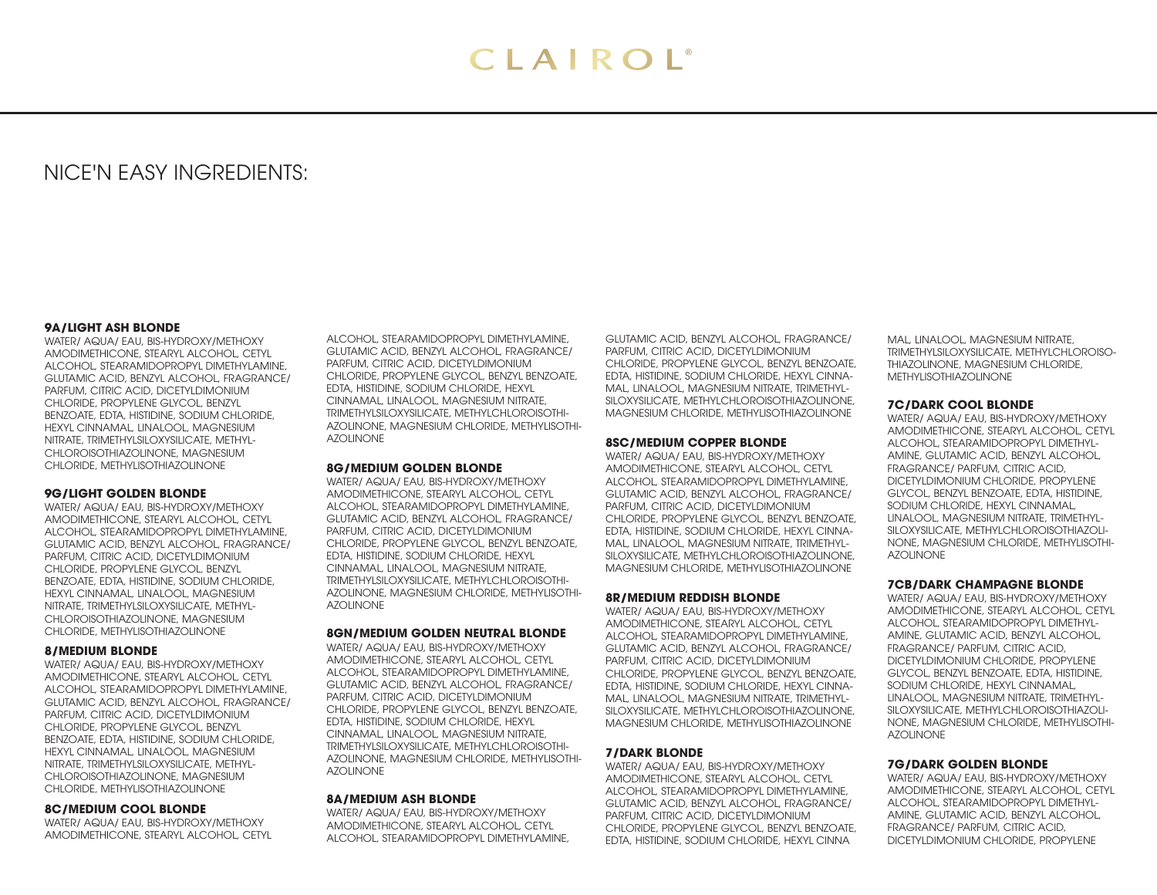# NICE'N EASY INGREDIENTS:

#### **9A/LIGHT ASH BLONDE**

WATER/ AQUA/ EAU, BIS-HYDROXY/METHOXY AMODIMETHICONE, STEARYL ALCOHOL, CETYL ALCOHOL, STEARAMIDOPROPYL DIMETHYLAMINE, GLUTAMIC ACID, BENZYL ALCOHOL, FRAGRANCE/ PARFUM, CITRIC ACID, DICETYLDIMONIUM CHLORIDE, PROPYLENE GLYCOL, BENZYL BENZOATE, EDTA, HISTIDINE, SODIUM CHLORIDE, HEXYL CINNAMAL, LINALOOL, MAGNESIUM NITRATE, TRIMETHYLSILOXYSILICATE, METHYL-CHLOROISOTHIAZOLINONE, MAGNESIUM CHLORIDE, METHYLISOTHIAZOLINONE

### **9G/LIGHT GOLDEN BLONDE**

WATER/ AQUA/ EAU, BIS-HYDROXY/METHOXY AMODIMETHICONE, STEARYL ALCOHOL, CETYL ALCOHOL, STEARAMIDOPROPYL DIMETHYLAMINE, GLUTAMIC ACID, BENZYL ALCOHOL, FRAGRANCE/ PARFUM, CITRIC ACID, DICETYLDIMONIUM CHLORIDE, PROPYLENE GLYCOL, BENZYL BENZOATE, EDTA, HISTIDINE, SODIUM CHLORIDE, HEXYL CINNAMAL, LINALOOL, MAGNESIUM NITRATE, TRIMETHYLSILOXYSILICATE, METHYL-CHLOROISOTHIAZOLINONE, MAGNESIUM CHLORIDE, METHYLISOTHIAZOLINONE

#### **8/MEDIUM BLONDE**

WATER/ AQUA/ EAU, BIS-HYDROXY/METHOXY AMODIMETHICONE, STEARYL ALCOHOL, CETYL ALCOHOL, STEARAMIDOPROPYL DIMETHYLAMINE, GLUTAMIC ACID, BENZYL ALCOHOL, FRAGRANCE/ PARFUM, CITRIC ACID, DICETYLDIMONIUM CHLORIDE, PROPYLENE GLYCOL, BENZYL BENZOATE, EDTA, HISTIDINE, SODIUM CHLORIDE, HEXYL CINNAMAL, LINALOOL, MAGNESIUM NITRATE, TRIMETHYLSILOXYSILICATE, METHYL-CHLOROISOTHIAZOLINONE, MAGNESIUM CHLORIDE, METHYLISOTHIAZOLINONE

# **8C/MEDIUM COOL BLONDE**

WATER/ AQUA/ EAU, BIS-HYDROXY/METHOXY AMODIMETHICONE, STEARYL ALCOHOL, CETYL ALCOHOL, STEARAMIDOPROPYL DIMETHYLAMINE, GLUTAMIC ACID, BENZYL ALCOHOL, FRAGRANCE/ PARFUM, CITRIC ACID, DICETYLDIMONIUM CHLORIDE, PROPYLENE GLYCOL, BENZYL BENZOATE, EDTA, HISTIDINE, SODIUM CHLORIDE, HEXYL CINNAMAL, LINALOOL, MAGNESIUM NITRATE, TRIMETHYLSILOXYSILICATE, METHYLCHLOROISOTHI-AZOLINONE, MAGNESIUM CHLORIDE, METHYLISOTHI-AZOLINONE

# **8G/MEDIUM GOLDEN BLONDE**

WATER/ AQUA/ EAU, BIS-HYDROXY/METHOXY AMODIMETHICONE, STEARYL ALCOHOL, CETYL ALCOHOL, STEARAMIDOPROPYL DIMETHYLAMINE, GLUTAMIC ACID, BENZYL ALCOHOL, FRAGRANCE/ PARFUM, CITRIC ACID, DICETYLDIMONIUM CHLORIDE, PROPYLENE GLYCOL, BENZYL BENZOATE, EDTA, HISTIDINE, SODIUM CHLORIDE, HEXYL CINNAMAL, LINALOOL, MAGNESIUM NITRATE, TRIMETHYLSILOXYSILICATE, METHYLCHLOROISOTHI-AZOLINONE, MAGNESIUM CHLORIDE, METHYLISOTHI-AZOLINONE

# **8GN/MEDIUM GOLDEN NEUTRAL BLONDE**

WATER/ AQUA/ EAU, BIS-HYDROXY/METHOXY AMODIMETHICONE, STEARYL ALCOHOL, CETYL ALCOHOL, STEARAMIDOPROPYL DIMETHYLAMINE, GLUTAMIC ACID, BENZYL ALCOHOL, FRAGRANCE/ PARFUM, CITRIC ACID, DICETYLDIMONIUM CHLORIDE, PROPYLENE GLYCOL, BENZYL BENZOATE, EDTA, HISTIDINE, SODIUM CHLORIDE, HEXYL CINNAMAL, LINALOOL, MAGNESIUM NITRATE, TRIMETHYLSILOXYSILICATE, METHYLCHLOROISOTHI-AZOLINONE, MAGNESIUM CHLORIDE, METHYLISOTHI-AZOLINONE

# **8A/MEDIUM ASH BLONDE**

WATER/ AQUA/ EAU, BIS-HYDROXY/METHOXY AMODIMETHICONE, STEARYL ALCOHOL, CETYL ALCOHOL, STEARAMIDOPROPYL DIMETHYLAMINE,

GLUTAMIC ACID, BENZYL ALCOHOL, FRAGRANCE/ PARFUM, CITRIC ACID, DICETYLDIMONIUM CHLORIDE, PROPYLENE GLYCOL, BENZYL BENZOATE, EDTA, HISTIDINE, SODIUM CHLORIDE, HEXYL CINNA-MAL, LINALOOL, MAGNESIUM NITRATE, TRIMETHYL-SILOXYSILICATE, METHYLCHLOROISOTHIAZOLINONE, MAGNESIUM CHLORIDE, METHYLISOTHIAZOLINONE

# **8SC/MEDIUM COPPER BLONDE**

WATER/ AQUA/ EAU, BIS-HYDROXY/METHOXY AMODIMETHICONE, STEARYL ALCOHOL, CETYL ALCOHOL, STEARAMIDOPROPYL DIMETHYLAMINE, GLUTAMIC ACID, BENZYL ALCOHOL, FRAGRANCE/ PARFUM, CITRIC ACID, DICETYLDIMONIUM CHLORIDE, PROPYLENE GLYCOL, BENZYL BENZOATE, EDTA, HISTIDINE, SODIUM CHLORIDE, HEXYL CINNA-MAL, LINALOOL, MAGNESIUM NITRATE, TRIMETHYL-SILOXYSILICATE, METHYLCHLOROISOTHIAZOLINONE, MAGNESIUM CHLORIDE, METHYLISOTHIAZOLINONE

# **8R/MEDIUM REDDISH BLONDE**

WATER/ AQUA/ EAU, BIS-HYDROXY/METHOXY AMODIMETHICONE, STEARYL ALCOHOL, CETYL ALCOHOL, STEARAMIDOPROPYL DIMETHYLAMINE, GLUTAMIC ACID, BENZYL ALCOHOL, FRAGRANCE/ PARFUM, CITRIC ACID, DICETYLDIMONIUM CHLORIDE, PROPYLENE GLYCOL, BENZYL BENZOATE, EDTA, HISTIDINE, SODIUM CHLORIDE, HEXYL CINNA-MAL, LINALOOL, MAGNESIUM NITRATE, TRIMETHYL-SILOXYSILICATE, METHYLCHLOROISOTHIAZOLINONE, MAGNESIUM CHLORIDE, METHYLISOTHIAZOLINONE

# **7/DARK BLONDE**

WATER/ AQUA/ EAU, BIS-HYDROXY/METHOXY AMODIMETHICONE, STEARYL ALCOHOL, CETYL ALCOHOL, STEARAMIDOPROPYL DIMETHYLAMINE, GLUTAMIC ACID, BENZYL ALCOHOL, FRAGRANCE/ PARFUM, CITRIC ACID, DICETYLDIMONIUM CHLORIDE, PROPYLENE GLYCOL, BENZYL BENZOATE, EDTA, HISTIDINE, SODIUM CHLORIDE, HEXYL CINNA

MAL, LINALOOL, MAGNESIUM NITRATE, TRIMETHYLSILOXYSILICATE, METHYLCHLOROISO-THIAZOLINONE, MAGNESIUM CHLORIDE, METHYLISOTHIAZOLINONE

#### **7C/DARK COOL BLONDE**

WATER/ AQUA/ EAU, BIS-HYDROXY/METHOXY AMODIMETHICONE, STEARYL ALCOHOL, CETYL ALCOHOL, STEARAMIDOPROPYL DIMETHYL-AMINE, GLUTAMIC ACID, BENZYL ALCOHOL, FRAGRANCE/ PARFUM, CITRIC ACID, DICETYLDIMONIUM CHLORIDE, PROPYLENE GLYCOL, BENZYL BENZOATE, EDTA, HISTIDINE, SODIUM CHLORIDE, HEXYL CINNAMAL, LINALOOL, MAGNESIUM NITRATE, TRIMETHYL-SILOXYSILICATE, METHYLCHLOROISOTHIAZOLI-NONE, MAGNESIUM CHLORIDE, METHYLISOTHI-AZOLINONE

# **7CB/DARK CHAMPAGNE BLONDE**

WATER/ AQUA/ EAU, BIS-HYDROXY/METHOXY AMODIMETHICONE, STEARYL ALCOHOL, CETYL ALCOHOL, STEARAMIDOPROPYL DIMETHYL-AMINE, GLUTAMIC ACID, BENZYL ALCOHOL, FRAGRANCE/ PARFUM, CITRIC ACID, DICETYLDIMONIUM CHLORIDE, PROPYLENE GLYCOL, BENZYL BENZOATE, EDTA, HISTIDINE, SODIUM CHLORIDE, HEXYL CINNAMAL, LINALOOL, MAGNESIUM NITRATE, TRIMETHYL-SILOXYSILICATE, METHYLCHLOROISOTHIAZOLI-NONE, MAGNESIUM CHLORIDE, METHYLISOTHI-AZOLINONE

# **7G/DARK GOLDEN BLONDE**

WATER/ AQUA/ EAU, BIS-HYDROXY/METHOXY AMODIMETHICONE, STEARYL ALCOHOL, CETYL ALCOHOL, STEARAMIDOPROPYL DIMETHYL-AMINE, GLUTAMIC ACID, BENZYL ALCOHOL, FRAGRANCE/ PARFUM, CITRIC ACID, DICETYLDIMONIUM CHLORIDE, PROPYLENE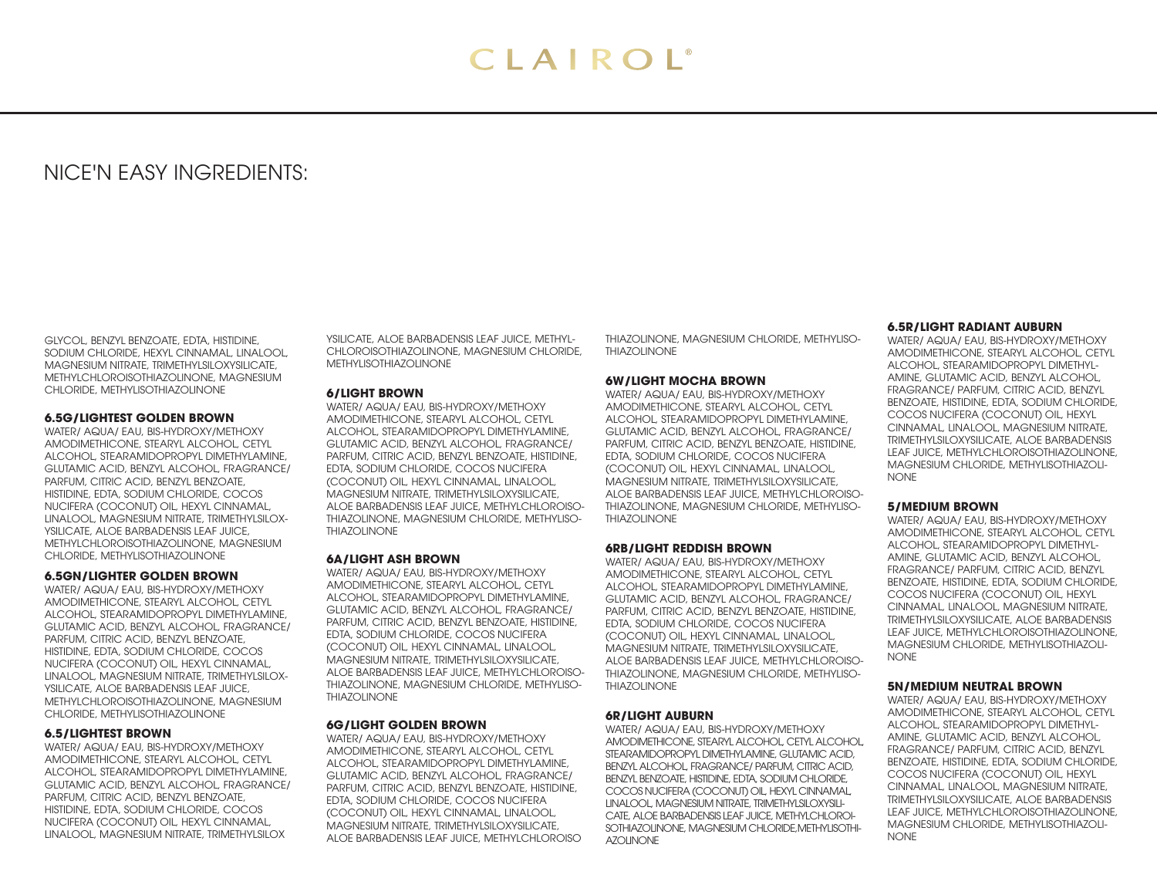# NICE'N EASY INGREDIENTS:

GLYCOL, BENZYL BENZOATE, EDTA, HISTIDINE, SODIUM CHLORIDE, HEXYL CINNAMAL, LINALOOL, MAGNESIUM NITRATE, TRIMETHYLSILOXYSILICATE, METHYLCHLOROISOTHIAZOLINONE, MAGNESIUM CHLORIDE, METHYLISOTHIAZOLINONE

#### **6.5G/LIGHTEST GOLDEN BROWN**

WATER/ AQUA/ EAU, BIS-HYDROXY/METHOXY AMODIMETHICONE, STEARYL ALCOHOL, CETYL ALCOHOL, STEARAMIDOPROPYL DIMETHYLAMINE, GLUTAMIC ACID, BENZYL ALCOHOL, FRAGRANCE/ PARFUM, CITRIC ACID, BENZYL BENZOATE, HISTIDINE, EDTA, SODIUM CHLORIDE, COCOS NUCIFERA (COCONUT) OIL, HEXYL CINNAMAL, LINALOOL, MAGNESIUM NITRATE, TRIMETHYLSILOX-YSILICATE, ALOE BARBADENSIS LEAF JUICE, METHYLCHLOROISOTHIAZOLINONE, MAGNESIUM CHLORIDE, METHYLISOTHIAZOLINONE

# **6.5GN/LIGHTER GOLDEN BROWN**

WATER/ AQUA/ EAU, BIS-HYDROXY/METHOXY AMODIMETHICONE, STEARYL ALCOHOL, CETYL ALCOHOL, STEARAMIDOPROPYL DIMETHYLAMINE, GLUTAMIC ACID, BENZYL ALCOHOL, FRAGRANCE/ PARFUM, CITRIC ACID, BENZYL BENZOATE, HISTIDINE, EDTA, SODIUM CHLORIDE, COCOS NUCIFERA (COCONUT) OIL, HEXYL CINNAMAL, LINALOOL, MAGNESIUM NITRATE, TRIMETHYLSILOX-YSILICATE, ALOE BARBADENSIS LEAF JUICE, METHYLCHLOROISOTHIAZOLINONE, MAGNESIUM CHLORIDE, METHYLISOTHIAZOLINONE

# **6.5/LIGHTEST BROWN**

WATER/ AQUA/ EAU, BIS-HYDROXY/METHOXY AMODIMETHICONE, STEARYL ALCOHOL, CETYL ALCOHOL, STEARAMIDOPROPYL DIMETHYLAMINE, GLUTAMIC ACID, BENZYL ALCOHOL, FRAGRANCE/ PARFUM, CITRIC ACID, BENZYL BENZOATE, HISTIDINE, EDTA, SODIUM CHLORIDE, COCOS NUCIFERA (COCONUT) OIL, HEXYL CINNAMAL, LINALOOL, MAGNESIUM NITRATE, TRIMETHYLSILOX

YSILICATE, ALOE BARBADENSIS LEAF JUICE, METHYL-CHLOROISOTHIAZOLINONE, MAGNESIUM CHLORIDE, METHYLISOTHIAZOLINONE

# **6/LIGHT BROWN**

WATER/ AQUA/ EAU, BIS-HYDROXY/METHOXY AMODIMETHICONE, STEARYL ALCOHOL, CETYL ALCOHOL, STEARAMIDOPROPYL DIMETHYLAMINE, GLUTAMIC ACID, BENZYL ALCOHOL, FRAGRANCE/ PARFUM, CITRIC ACID, BENZYL BENZOATE, HISTIDINE, EDTA, SODIUM CHLORIDE, COCOS NUCIFERA (COCONUT) OIL, HEXYL CINNAMAL, LINALOOL, MAGNESIUM NITRATE, TRIMETHYLSILOXYSILICATE, ALOE BARBADENSIS LEAF JUICE, METHYLCHLOROISO-THIAZOLINONE, MAGNESIUM CHLORIDE, METHYLISO-THIAZOLINONE

# **6A/LIGHT ASH BROWN**

WATER/ AQUA/ EAU, BIS-HYDROXY/METHOXY AMODIMETHICONE, STEARYL ALCOHOL, CETYL ALCOHOL, STEARAMIDOPROPYL DIMETHYLAMINE, GLUTAMIC ACID, BENZYL ALCOHOL, FRAGRANCE/ PARFUM, CITRIC ACID, BENZYL BENZOATE, HISTIDINE, EDTA, SODIUM CHLORIDE, COCOS NUCIFERA (COCONUT) OIL, HEXYL CINNAMAL, LINALOOL, MAGNESIUM NITRATE, TRIMETHYLSILOXYSILICATE, ALOE BARBADENSIS LEAF JUICE, METHYLCHLOROISO-THIAZOLINONE, MAGNESIUM CHLORIDE, METHYLISO-THIAZOLINONE

# **6G/LIGHT GOLDEN BROWN**

WATER/ AQUA/ EAU, BIS-HYDROXY/METHOXY AMODIMETHICONE, STEARYL ALCOHOL, CETYL ALCOHOL, STEARAMIDOPROPYL DIMETHYLAMINE, GLUTAMIC ACID, BENZYL ALCOHOL, FRAGRANCE/ PARFUM, CITRIC ACID, BENZYL BENZOATE, HISTIDINE, EDTA, SODIUM CHLORIDE, COCOS NUCIFERA (COCONUT) OIL, HEXYL CINNAMAL, LINALOOL, MAGNESIUM NITRATE, TRIMETHYLSILOXYSILICATE, ALOE BARBADENSIS LEAF JUICE, METHYLCHLOROISO

THIAZOLINONE, MAGNESIUM CHLORIDE, METHYLISO-THIAZOLINONE

# **6W/LIGHT MOCHA BROWN**

WATER/ AQUA/ EAU, BIS-HYDROXY/METHOXY AMODIMETHICONE, STEARYL ALCOHOL, CETYL ALCOHOL, STEARAMIDOPROPYL DIMETHYLAMINE, GLUTAMIC ACID, BENZYL ALCOHOL, FRAGRANCE/ PARFUM, CITRIC ACID, BENZYL BENZOATE, HISTIDINE, EDTA, SODIUM CHLORIDE, COCOS NUCIFERA (COCONUT) OIL, HEXYL CINNAMAL, LINALOOL, MAGNESIUM NITRATE, TRIMETHYLSILOXYSILICATE, ALOE BARBADENSIS LEAF JUICE, METHYLCHLOROISO-THIAZOLINONE, MAGNESIUM CHLORIDE, METHYLISO-THIAZOLINONE

# **6RB/LIGHT REDDISH BROWN**

WATER/ AQUA/ EAU, BIS-HYDROXY/METHOXY AMODIMETHICONE, STEARYL ALCOHOL, CETYL ALCOHOL, STEARAMIDOPROPYL DIMETHYLAMINE, GLUTAMIC ACID, BENZYL ALCOHOL, FRAGRANCE/ PARFUM, CITRIC ACID, BENZYL BENZOATE, HISTIDINE, EDTA, SODIUM CHLORIDE, COCOS NUCIFERA (COCONUT) OIL, HEXYL CINNAMAL, LINALOOL, MAGNESIUM NITRATE, TRIMETHYLSILOXYSILICATE, ALOE BARBADENSIS LEAF JUICE, METHYLCHLOROISO-THIAZOLINONE, MAGNESIUM CHLORIDE, METHYLISO-THIAZOLINONE

# **6R/LIGHT AUBURN**

WATER/ AQUA/ EAU, BIS-HYDROXY/METHOXY AMODIMETHICONE, STEARYL ALCOHOL, CETYL ALCOHOL, STEARAMIDOPROPYL DIMETHYLAMINE, GLUTAMIC ACID, BENZYL ALCOHOL, FRAGRANCE/ PARFUM, CITRIC ACID, BENZYL BENZOATE, HISTIDINE, EDTA, SODIUM CHLORIDE, COCOS NUCIFERA (COCONUT) OIL, HEXYL CINNAMAL, LINALOOL, MAGNESIUM NITRATE, TRIMETHYLSILOXYSILI-CATE, ALOE BARBADENSIS LEAF JUICE, METHYLCHLOROI-SOTHIAZOLINONE, MAGNESIUM CHLORIDE,METHYLISOTHI-AZOLINONE

#### **6.5R/LIGHT RADIANT AUBURN**

WATER/ AQUA/ EAU, BIS-HYDROXY/METHOXY AMODIMETHICONE, STEARYL ALCOHOL, CETYL ALCOHOL, STEARAMIDOPROPYL DIMETHYL-AMINE, GLUTAMIC ACID, BENZYL ALCOHOL, FRAGRANCE/ PARFUM, CITRIC ACID, BENZYL BENZOATE, HISTIDINE, EDTA, SODIUM CHLORIDE, COCOS NUCIFERA (COCONUT) OIL, HEXYL CINNAMAL, LINALOOL, MAGNESIUM NITRATE, TRIMETHYLSILOXYSILICATE, ALOE BARBADENSIS LEAF JUICE, METHYLCHLOROISOTHIAZOLINONE, MAGNESIUM CHLORIDE, METHYLISOTHIAZOLI-NONE

# **5/MEDIUM BROWN**

WATER/ AQUA/ EAU, BIS-HYDROXY/METHOXY AMODIMETHICONE, STEARYL ALCOHOL, CETYL ALCOHOL, STEARAMIDOPROPYL DIMETHYL-AMINE, GLUTAMIC ACID, BENZYL ALCOHOL, FRAGRANCE/ PARFUM, CITRIC ACID, BENZYL BENZOATE, HISTIDINE, EDTA, SODIUM CHLORIDE, COCOS NUCIFERA (COCONUT) OIL, HEXYL CINNAMAL, LINALOOL, MAGNESIUM NITRATE, TRIMETHYLSILOXYSILICATE, ALOE BARBADENSIS LEAF JUICE, METHYLCHLOROISOTHIAZOLINONE, MAGNESIUM CHLORIDE, METHYLISOTHIAZOLI-NONE

#### **5N/MEDIUM NEUTRAL BROWN**

WATER/ AQUA/ EAU, BIS-HYDROXY/METHOXY AMODIMETHICONE, STEARYL ALCOHOL, CETYL ALCOHOL, STEARAMIDOPROPYL DIMETHYL-AMINE, GLUTAMIC ACID, BENZYL ALCOHOL, FRAGRANCE/ PARFUM, CITRIC ACID, BENZYL BENZOATE, HISTIDINE, EDTA, SODIUM CHLORIDE, COCOS NUCIFERA (COCONUT) OIL, HEXYL CINNAMAL, LINALOOL, MAGNESIUM NITRATE, TRIMETHYLSILOXYSILICATE, ALOE BARBADENSIS LEAF JUICE, METHYLCHLOROISOTHIAZOLINONE, MAGNESIUM CHLORIDE, METHYLISOTHIAZOLI-NONE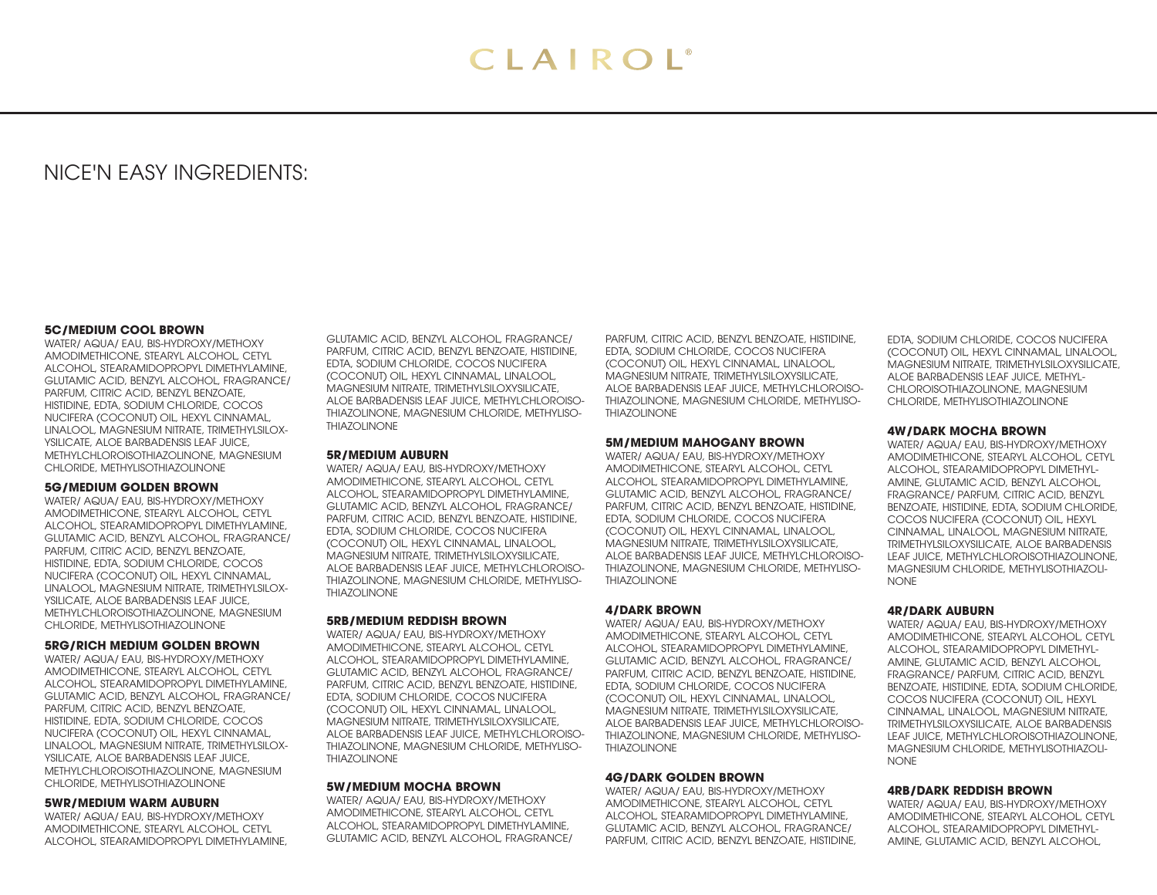# NICE'N EASY INGREDIENTS:

#### **5C/MEDIUM COOL BROWN**

WATER/ AQUA/ EAU, BIS-HYDROXY/METHOXY AMODIMETHICONE, STEARYL ALCOHOL, CETYL ALCOHOL, STEARAMIDOPROPYL DIMETHYLAMINE, GLUTAMIC ACID, BENZYL ALCOHOL, FRAGRANCE/ PARFUM, CITRIC ACID, BENZYL BENZOATE, HISTIDINE, EDTA, SODIUM CHLORIDE, COCOS NUCIFERA (COCONUT) OIL, HEXYL CINNAMAL, LINALOOL, MAGNESIUM NITRATE, TRIMETHYLSILOX-YSILICATE, ALOE BARBADENSIS LEAF JUICE, METHYLCHLOROISOTHIAZOLINONE, MAGNESIUM CHLORIDE, METHYLISOTHIAZOLINONE

### **5G/MEDIUM GOLDEN BROWN**

WATER/ AQUA/ EAU, BIS-HYDROXY/METHOXY AMODIMETHICONE, STEARYL ALCOHOL, CETYL ALCOHOL, STEARAMIDOPROPYL DIMETHYLAMINE, GLUTAMIC ACID, BENZYL ALCOHOL, FRAGRANCE/ PARFUM, CITRIC ACID, BENZYL BENZOATE, HISTIDINE, EDTA, SODIUM CHLORIDE, COCOS NUCIFERA (COCONUT) OIL, HEXYL CINNAMAL, LINALOOL, MAGNESIUM NITRATE, TRIMETHYLSILOX-YSILICATE, ALOE BARBADENSIS LEAF JUICE, METHYLCHLOROISOTHIAZOLINONE, MAGNESIUM CHLORIDE, METHYLISOTHIAZOLINONE

#### **5RG/RICH MEDIUM GOLDEN BROWN**

WATER/ AQUA/ EAU, BIS-HYDROXY/METHOXY AMODIMETHICONE, STEARYL ALCOHOL, CETYL ALCOHOL, STEARAMIDOPROPYL DIMETHYLAMINE, GLUTAMIC ACID, BENZYL ALCOHOL, FRAGRANCE/ PARFUM, CITRIC ACID, BENZYL BENZOATE, HISTIDINE, EDTA, SODIUM CHLORIDE, COCOS NUCIFERA (COCONUT) OIL, HEXYL CINNAMAL, LINALOOL, MAGNESIUM NITRATE, TRIMETHYLSILOX-YSILICATE, ALOE BARBADENSIS LEAF JUICE, METHYLCHLOROISOTHIAZOLINONE, MAGNESIUM CHLORIDE, METHYLISOTHIAZOLINONE

#### **5WR/MEDIUM WARM AUBURN**

WATER/ AQUA/ EAU, BIS-HYDROXY/METHOXY AMODIMETHICONE, STEARYL ALCOHOL, CETYL ALCOHOL, STEARAMIDOPROPYL DIMETHYLAMINE,

GLUTAMIC ACID, BENZYL ALCOHOL, FRAGRANCE/ PARFUM, CITRIC ACID, BENZYL BENZOATE, HISTIDINE, EDTA, SODIUM CHLORIDE, COCOS NUCIFERA (COCONUT) OIL, HEXYL CINNAMAL, LINALOOL, MAGNESIUM NITRATE, TRIMETHYLSILOXYSILICATE, ALOE BARBADENSIS LEAF JUICE, METHYLCHLOROISO-THIAZOLINONE, MAGNESIUM CHLORIDE, METHYLISO-THIAZOLINONE

#### **5R/MEDIUM AUBURN**

WATER/ AQUA/ EAU, BIS-HYDROXY/METHOXY AMODIMETHICONE, STEARYL ALCOHOL, CETYL ALCOHOL, STEARAMIDOPROPYL DIMETHYLAMINE, GLUTAMIC ACID, BENZYL ALCOHOL, FRAGRANCE/ PARFUM, CITRIC ACID, BENZYL BENZOATE, HISTIDINE, EDTA, SODIUM CHLORIDE, COCOS NUCIFERA (COCONUT) OIL, HEXYL CINNAMAL, LINALOOL, MAGNESIUM NITRATE, TRIMETHYLSILOXYSILICATE, ALOE BARBADENSIS LEAF JUICE, METHYLCHLOROISO-THIAZOLINONE, MAGNESIUM CHLORIDE, METHYLISO-THIAZOLINONE

#### **5RB/MEDIUM REDDISH BROWN**

WATER/ AQUA/ EAU, BIS-HYDROXY/METHOXY AMODIMETHICONE, STEARYL ALCOHOL, CETYL ALCOHOL, STEARAMIDOPROPYL DIMETHYLAMINE, GLUTAMIC ACID, BENZYL ALCOHOL, FRAGRANCE/ PARFUM, CITRIC ACID, BENZYL BENZOATE, HISTIDINE, EDTA, SODIUM CHLORIDE, COCOS NUCIFERA (COCONUT) OIL, HEXYL CINNAMAL, LINALOOL, MAGNESIUM NITRATE, TRIMETHYLSILOXYSILICATE, ALOE BARBADENSIS LEAF JUICE, METHYLCHLOROISO-THIAZOLINONE, MAGNESIUM CHLORIDE, METHYLISO-THIAZOLINONE

#### **5W/MEDIUM MOCHA BROWN**

WATER/ AQUA/ EAU, BIS-HYDROXY/METHOXY AMODIMETHICONE, STEARYL ALCOHOL, CETYL ALCOHOL, STEARAMIDOPROPYL DIMETHYLAMINE, GLUTAMIC ACID, BENZYL ALCOHOL, FRAGRANCE/

PARFUM, CITRIC ACID, BENZYL BENZOATE, HISTIDINE, EDTA, SODIUM CHLORIDE, COCOS NUCIFERA (COCONUT) OIL, HEXYL CINNAMAL, LINALOOL, MAGNESIUM NITRATE, TRIMETHYLSILOXYSILICATE, ALOE BARBADENSIS LEAF JUICE, METHYLCHLOROISO-THIAZOLINONE, MAGNESIUM CHLORIDE, METHYLISO-THIAZOLINONE

# **5M/MEDIUM MAHOGANY BROWN**

WATER/ AQUA/ EAU, BIS-HYDROXY/METHOXY AMODIMETHICONE, STEARYL ALCOHOL, CETYL ALCOHOL, STEARAMIDOPROPYL DIMETHYLAMINE, GLUTAMIC ACID, BENZYL ALCOHOL, FRAGRANCE/ PARFUM, CITRIC ACID, BENZYL BENZOATE, HISTIDINE, EDTA, SODIUM CHLORIDE, COCOS NUCIFERA (COCONUT) OIL, HEXYL CINNAMAL, LINALOOL, MAGNESIUM NITRATE, TRIMETHYLSILOXYSILICATE, ALOE BARBADENSIS LEAF JUICE, METHYLCHLOROISO-THIAZOLINONE, MAGNESIUM CHLORIDE, METHYLISO-THIAZOLINONE

#### **4/DARK BROWN**

WATER/ AQUA/ EAU, BIS-HYDROXY/METHOXY AMODIMETHICONE, STEARYL ALCOHOL, CETYL ALCOHOL, STEARAMIDOPROPYL DIMETHYLAMINE, GLUTAMIC ACID, BENZYL ALCOHOL, FRAGRANCE/ PARFUM, CITRIC ACID, BENZYL BENZOATE, HISTIDINE, EDTA, SODIUM CHLORIDE, COCOS NUCIFERA (COCONUT) OIL, HEXYL CINNAMAL, LINALOOL, MAGNESIUM NITRATE, TRIMETHYLSILOXYSILICATE, ALOE BARBADENSIS LEAF JUICE, METHYLCHLOROISO-THIAZOLINONE, MAGNESIUM CHLORIDE, METHYLISO-THIAZOLINONE

# **4G/DARK GOLDEN BROWN**

WATER/ AQUA/ EAU, BIS-HYDROXY/METHOXY AMODIMETHICONE, STEARYL ALCOHOL, CETYL ALCOHOL, STEARAMIDOPROPYL DIMETHYLAMINE, GLUTAMIC ACID, BENZYL ALCOHOL, FRAGRANCE/ PARFUM, CITRIC ACID, BENZYL BENZOATE, HISTIDINE, EDTA, SODIUM CHLORIDE, COCOS NUCIFERA (COCONUT) OIL, HEXYL CINNAMAL, LINALOOL, MAGNESIUM NITRATE, TRIMETHYLSILOXYSILICATE, ALOE BARBADENSIS LEAF JUICE, METHYL-CHLOROISOTHIAZOLINONE, MAGNESIUM CHLORIDE, METHYLISOTHIAZOLINONE

#### **4W/DARK MOCHA BROWN**

WATER/ AQUA/ EAU, BIS-HYDROXY/METHOXY AMODIMETHICONE, STEARYL ALCOHOL, CETYL ALCOHOL, STEARAMIDOPROPYL DIMETHYL-AMINE, GLUTAMIC ACID, BENZYL ALCOHOL, FRAGRANCE/ PARFUM, CITRIC ACID, BENZYL BENZOATE, HISTIDINE, EDTA, SODIUM CHLORIDE, COCOS NUCIFERA (COCONUT) OIL, HEXYL CINNAMAL, LINALOOL, MAGNESIUM NITRATE, TRIMETHYLSILOXYSILICATE, ALOE BARBADENSIS LEAF JUICE, METHYLCHLOROISOTHIAZOLINONE, MAGNESIUM CHLORIDE, METHYLISOTHIAZOLI-**NONE** 

#### **4R/DARK AUBURN**

WATER/ AQUA/ EAU, BIS-HYDROXY/METHOXY AMODIMETHICONE, STEARYL ALCOHOL, CETYL ALCOHOL, STEARAMIDOPROPYL DIMETHYL-AMINE, GLUTAMIC ACID, BENZYL ALCOHOL, FRAGRANCE/ PARFUM, CITRIC ACID, BENZYL BENZOATE, HISTIDINE, EDTA, SODIUM CHLORIDE, COCOS NUCIFERA (COCONUT) OIL, HEXYL CINNAMAL, LINALOOL, MAGNESIUM NITRATE, TRIMETHYLSILOXYSILICATE, ALOE BARBADENSIS LEAF JUICE, METHYLCHLOROISOTHIAZOLINONE, MAGNESIUM CHLORIDE, METHYLISOTHIAZOLI-**NONE** 

#### **4RB/DARK REDDISH BROWN**

WATER/ AQUA/ EAU, BIS-HYDROXY/METHOXY AMODIMETHICONE, STEARYL ALCOHOL, CETYL ALCOHOL, STEARAMIDOPROPYL DIMETHYL-AMINE, GLUTAMIC ACID, BENZYL ALCOHOL,